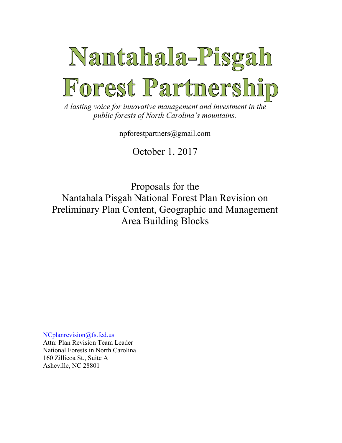

*A lasting voice for innovative management and investment in the public forests of North Carolina's mountains.*

npforestpartners@gmail.com

October 1, 2017

Proposals for the Nantahala Pisgah National Forest Plan Revision on Preliminary Plan Content, Geographic and Management Area Building Blocks

[NCplanrevision@fs.fed.us](mailto:NCplanrevision@fs.fed.us)

Attn: Plan Revision Team Leader National Forests in North Carolina 160 Zillicoa St., Suite A Asheville, NC 28801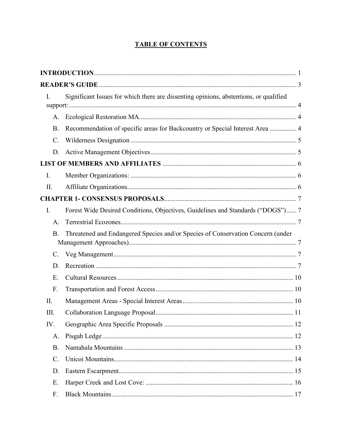# **TABLE OF CONTENTS**

| I.              | Significant Issues for which there are dissenting opinions, abstentions, or qualified |  |
|-----------------|---------------------------------------------------------------------------------------|--|
| A.              |                                                                                       |  |
| <b>B.</b>       | Recommendation of specific areas for Backcountry or Special Interest Area  4          |  |
| $\mathcal{C}$ . |                                                                                       |  |
| D.              |                                                                                       |  |
|                 |                                                                                       |  |
| $\mathbf{I}$ .  |                                                                                       |  |
| II.             |                                                                                       |  |
|                 |                                                                                       |  |
| I.              | Forest Wide Desired Conditions, Objectives, Guidelines and Standards ("DOGS") 7       |  |
| A.              |                                                                                       |  |
| <b>B.</b>       | Threatened and Endangered Species and/or Species of Conservation Concern (under       |  |
| $\mathcal{C}$ . |                                                                                       |  |
| D.              |                                                                                       |  |
| E.              |                                                                                       |  |
| F.              |                                                                                       |  |
| II.             |                                                                                       |  |
| III.            |                                                                                       |  |
| IV.             |                                                                                       |  |
| A.              |                                                                                       |  |
| <b>B.</b>       |                                                                                       |  |
| $\mathcal{C}$ . |                                                                                       |  |
| D.              |                                                                                       |  |
| Ε.              |                                                                                       |  |
| F.              |                                                                                       |  |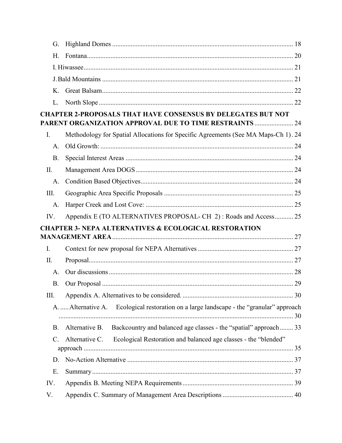| G.              |                                                                                                                                |  |
|-----------------|--------------------------------------------------------------------------------------------------------------------------------|--|
|                 |                                                                                                                                |  |
| H.              |                                                                                                                                |  |
|                 |                                                                                                                                |  |
|                 |                                                                                                                                |  |
| $K_{-}$         |                                                                                                                                |  |
| L.              |                                                                                                                                |  |
|                 | <b>CHAPTER 2-PROPOSALS THAT HAVE CONSENSUS BY DELEGATES BUT NOT</b><br>PARENT ORGANIZATION APPROVAL DUE TO TIME RESTRAINTS  24 |  |
| $I_{\cdot}$     | Methodology for Spatial Allocations for Specific Agreements (See MA Maps-Ch 1). 24                                             |  |
| A.              |                                                                                                                                |  |
| <b>B.</b>       |                                                                                                                                |  |
| II.             |                                                                                                                                |  |
| A.              |                                                                                                                                |  |
| III.            |                                                                                                                                |  |
| A.              |                                                                                                                                |  |
| IV.             | Appendix E (TO ALTERNATIVES PROPOSAL- CH 2): Roads and Access 25                                                               |  |
|                 | <b>CHAPTER 3- NEPA ALTERNATIVES &amp; ECOLOGICAL RESTORATION</b>                                                               |  |
|                 |                                                                                                                                |  |
| $I_{\cdot}$     |                                                                                                                                |  |
| II.             |                                                                                                                                |  |
| $A_{\cdot}$     |                                                                                                                                |  |
| <b>B.</b>       |                                                                                                                                |  |
| Ш.              |                                                                                                                                |  |
|                 | A.  Alternative A. Ecological restoration on a large landscape - the "granular" approach                                       |  |
| <b>B.</b>       | Backcountry and balanced age classes - the "spatial" approach 33<br>Alternative B.                                             |  |
| $\mathcal{C}$ . | Ecological Restoration and balanced age classes - the "blended"<br>Alternative C.                                              |  |
| D.              |                                                                                                                                |  |
| Ε.              |                                                                                                                                |  |
| IV.             |                                                                                                                                |  |
| V.              |                                                                                                                                |  |
|                 |                                                                                                                                |  |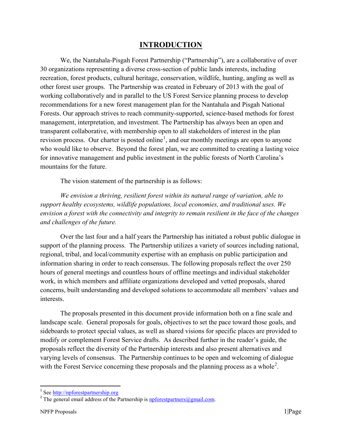# **INTRODUCTION**

<span id="page-4-0"></span>We, the Nantahala-Pisgah Forest Partnership ("Partnership"), are a collaborative of over 30 organizations representing a diverse cross-section of public lands interests, including recreation, forest products, cultural heritage, conservation, wildlife, hunting, angling as well as other forest user groups. The Partnership was created in February of 2013 with the goal of working collaboratively and in parallel to the US Forest Service planning process to develop recommendations for a new forest management plan for the Nantahala and Pisgah National Forests. Our approach strives to reach community-supported, science-based methods for forest management, interpretation, and investment. The Partnership has always been an open and transparent collaborative, with membership open to all stakeholders of interest in the plan revision process. Our charter is posted online<sup>[1](#page-4-1)</sup>, and our monthly meetings are open to anyone who would like to observe. Beyond the forest plan, we are committed to creating a lasting voice for innovative management and public investment in the public forests of North Carolina's mountains for the future.

The vision statement of the partnership is as follows:

*We envision a thriving, resilient forest within its natural range of variation, able to support healthy ecosystems, wildlife populations, local economies, and traditional uses. We envision a forest with the connectivity and integrity to remain resilient in the face of the changes and challenges of the future.*

Over the last four and a half years the Partnership has initiated a robust public dialogue in support of the planning process. The Partnership utilizes a variety of sources including national, regional, tribal, and local/community expertise with an emphasis on public participation and information sharing in order to reach consensus. The following proposals reflect the over 250 hours of general meetings and countless hours of offline meetings and individual stakeholder work, in which members and affiliate organizations developed and vetted proposals, shared concerns, built understanding and developed solutions to accommodate all members' values and interests.

The proposals presented in this document provide information both on a fine scale and landscape scale. General proposals for goals, objectives to set the pace toward those goals, and sideboards to protect special values, as well as shared visions for specific places are provided to modify or complement Forest Service drafts. As described further in the reader's guide, the proposals reflect the diversity of the Partnership interests and also present alternatives and varying levels of consensus. The Partnership continues to be open and welcoming of dialogue with the Forest Service concerning these proposals and the planning process as a whole<sup>[2](#page-4-2)</sup>.

<span id="page-4-1"></span> <sup>1</sup> See [http://npforestpartnership.org](http://npforestpartnership.org/)

<span id="page-4-2"></span><sup>&</sup>lt;sup>2</sup> The general email address of the Partnership is  $\frac{1}{2}$  [npforestpartners@gmail.com.](mailto:npforestpartners@gmail.com)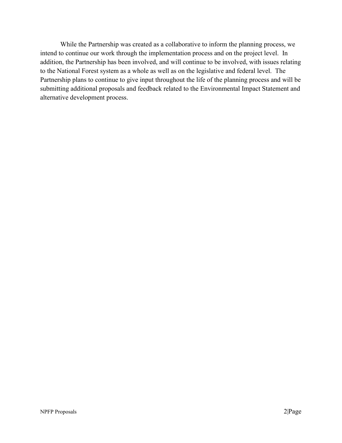While the Partnership was created as a collaborative to inform the planning process, we intend to continue our work through the implementation process and on the project level. In addition, the Partnership has been involved, and will continue to be involved, with issues relating to the National Forest system as a whole as well as on the legislative and federal level. The Partnership plans to continue to give input throughout the life of the planning process and will be submitting additional proposals and feedback related to the Environmental Impact Statement and alternative development process.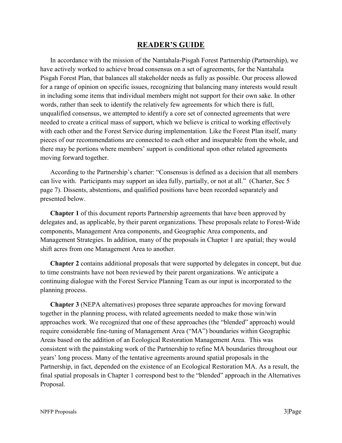# **READER'S GUIDE**

<span id="page-6-0"></span>In accordance with the mission of the Nantahala-Pisgah Forest Partnership (Partnership), we have actively worked to achieve broad consensus on a set of agreements, for the Nantahala Pisgah Forest Plan, that balances all stakeholder needs as fully as possible. Our process allowed for a range of opinion on specific issues, recognizing that balancing many interests would result in including some items that individual members might not support for their own sake. In other words, rather than seek to identify the relatively few agreements for which there is full, unqualified consensus, we attempted to identify a core set of connected agreements that were needed to create a critical mass of support, which we believe is critical to working effectively with each other and the Forest Service during implementation. Like the Forest Plan itself, many pieces of our recommendations are connected to each other and inseparable from the whole, and there may be portions where members' support is conditional upon other related agreements moving forward together.

According to the Partnership's charter: "Consensus is defined as a decision that all members can live with. Participants may support an idea fully, partially, or not at all." (Charter, Sec 5 page 7). Dissents, abstentions, and qualified positions have been recorded separately and presented below.

**Chapter 1** of this document reports Partnership agreements that have been approved by delegates and, as applicable, by their parent organizations. These proposals relate to Forest-Wide components, Management Area components, and Geographic Area components, and Management Strategies. In addition, many of the proposals in Chapter 1 are spatial; they would shift acres from one Management Area to another.

**Chapter 2** contains additional proposals that were supported by delegates in concept, but due to time constraints have not been reviewed by their parent organizations. We anticipate a continuing dialogue with the Forest Service Planning Team as our input is incorporated to the planning process.

**Chapter 3** (NEPA alternatives) proposes three separate approaches for moving forward together in the planning process, with related agreements needed to make those win/win approaches work. We recognized that one of these approaches (the "blended" approach) would require considerable fine-tuning of Management Area ("MA") boundaries within Geographic Areas based on the addition of an Ecological Restoration Management Area. This was consistent with the painstaking work of the Partnership to refine MA boundaries throughout our years' long process. Many of the tentative agreements around spatial proposals in the Partnership, in fact, depended on the existence of an Ecological Restoration MA. As a result, the final spatial proposals in Chapter 1 correspond best to the "blended" approach in the Alternatives Proposal.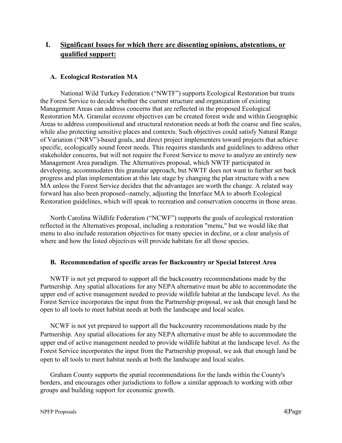# <span id="page-7-0"></span>**I. Significant Issues for which there are dissenting opinions, abstentions, or qualified support:**

#### <span id="page-7-1"></span>**A. Ecological Restoration MA**

National Wild Turkey Federation ("NWTF") supports Ecological Restoration but trusts the Forest Service to decide whether the current structure and organization of existing Management Areas can address concerns that are reflected in the proposed Ecological Restoration MA. Granular ecozone objectives can be created forest wide and within Geographic Areas to address compositional and structural restoration needs at both the coarse and fine scales, while also protecting sensitive places and contexts. Such objectives could satisfy Natural Range of Variation ("NRV")-based goals, and direct project implementers toward projects that achieve specific, ecologically sound forest needs. This requires standards and guidelines to address other stakeholder concerns, but will not require the Forest Service to move to analyze an entirely new Management Area paradigm. The Alternatives proposal, which NWTF participated in developing, accommodates this granular approach, but NWTF does not want to further set back progress and plan implementation at this late stage by changing the plan structure with a new MA unless the Forest Service decides that the advantages are worth the change. A related way forward has also been proposed--namely, adjusting the Interface MA to absorb Ecological Restoration guidelines, which will speak to recreation and conservation concerns in those areas.

North Carolina Wildlife Federation ("NCWF") supports the goals of ecological restoration reflected in the Alternatives proposal, including a restoration "menu," but we would like that menu to also include restoration objectives for many species in decline, or a clear analysis of where and how the listed objectives will provide habitats for all those species.

#### <span id="page-7-2"></span>**B. Recommendation of specific areas for Backcountry or Special Interest Area**

NWTF is not yet prepared to support all the backcountry recommendations made by the Partnership. Any spatial allocations for any NEPA alternative must be able to accommodate the upper end of active management needed to provide wildlife habitat at the landscape level. As the Forest Service incorporates the input from the Partnership proposal, we ask that enough land be open to all tools to meet habitat needs at both the landscape and local scales.

NCWF is not yet prepared to support all the backcountry recommendations made by the Partnership. Any spatial allocations for any NEPA alternative must be able to accommodate the upper end of active management needed to provide wildlife habitat at the landscape level. As the Forest Service incorporates the input from the Partnership proposal, we ask that enough land be open to all tools to meet habitat needs at both the landscape and local scales.

Graham County supports the spatial recommendations for the lands within the County's borders, and encourages other jurisdictions to follow a similar approach to working with other groups and building support for economic growth.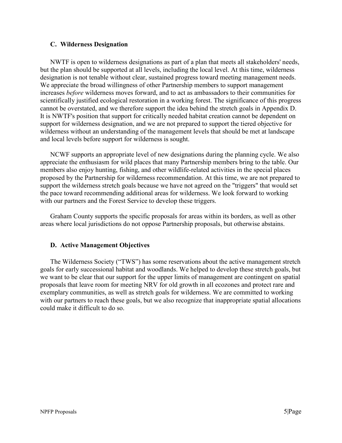#### <span id="page-8-0"></span>**C. Wilderness Designation**

NWTF is open to wilderness designations as part of a plan that meets all stakeholders' needs, but the plan should be supported at all levels, including the local level. At this time, wilderness designation is not tenable without clear, sustained progress toward meeting management needs. We appreciate the broad willingness of other Partnership members to support management increases *before* wilderness moves forward, and to act as ambassadors to their communities for scientifically justified ecological restoration in a working forest. The significance of this progress cannot be overstated, and we therefore support the idea behind the stretch goals in Appendix D. It is NWTF's position that support for critically needed habitat creation cannot be dependent on support for wilderness designation, and we are not prepared to support the tiered objective for wilderness without an understanding of the management levels that should be met at landscape and local levels before support for wilderness is sought.

NCWF supports an appropriate level of new designations during the planning cycle. We also appreciate the enthusiasm for wild places that many Partnership members bring to the table. Our members also enjoy hunting, fishing, and other wildlife-related activities in the special places proposed by the Partnership for wilderness recommendation. At this time, we are not prepared to support the wilderness stretch goals because we have not agreed on the "triggers" that would set the pace toward recommending additional areas for wilderness. We look forward to working with our partners and the Forest Service to develop these triggers.

Graham County supports the specific proposals for areas within its borders, as well as other areas where local jurisdictions do not oppose Partnership proposals, but otherwise abstains.

#### <span id="page-8-1"></span>**D. Active Management Objectives**

The Wilderness Society ("TWS") has some reservations about the active management stretch goals for early successional habitat and woodlands. We helped to develop these stretch goals, but we want to be clear that our support for the upper limits of management are contingent on spatial proposals that leave room for meeting NRV for old growth in all ecozones and protect rare and exemplary communities, as well as stretch goals for wilderness. We are committed to working with our partners to reach these goals, but we also recognize that inappropriate spatial allocations could make it difficult to do so.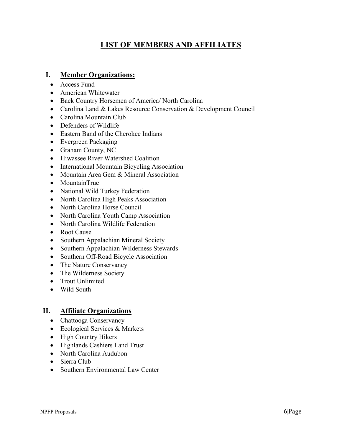# **LIST OF MEMBERS AND AFFILIATES**

### <span id="page-9-1"></span><span id="page-9-0"></span>**I. Member Organizations:**

- Access Fund
- American Whitewater
- Back Country Horsemen of America/ North Carolina
- Carolina Land & Lakes Resource Conservation & Development Council
- Carolina Mountain Club
- Defenders of Wildlife
- Eastern Band of the Cherokee Indians
- Evergreen Packaging
- Graham County, NC
- Hiwassee River Watershed Coalition
- International Mountain Bicycling Association
- Mountain Area Gem & Mineral Association
- MountainTrue
- National Wild Turkey Federation
- North Carolina High Peaks Association
- North Carolina Horse Council
- North Carolina Youth Camp Association
- North Carolina Wildlife Federation
- Root Cause
- Southern Appalachian Mineral Society
- Southern Appalachian Wilderness Stewards
- Southern Off-Road Bicycle Association
- The Nature Conservancy
- The Wilderness Society
- Trout Unlimited
- Wild South

#### <span id="page-9-2"></span>**II. Affiliate Organizations**

- Chattooga Conservancy
- Ecological Services & Markets
- High Country Hikers
- Highlands Cashiers Land Trust
- North Carolina Audubon
- Sierra Club
- Southern Environmental Law Center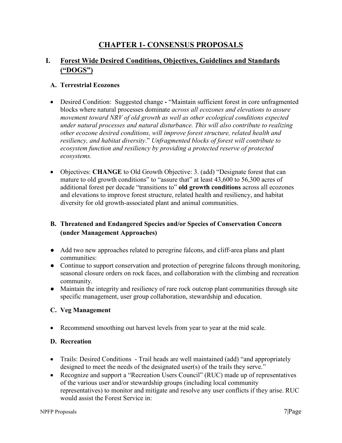# **CHAPTER 1- CONSENSUS PROPOSALS**

# <span id="page-10-1"></span><span id="page-10-0"></span>**I. Forest Wide Desired Conditions, Objectives, Guidelines and Standards ("DOGS")**

#### <span id="page-10-2"></span>**A. Terrestrial Ecozones**

- Desired Condition: Suggested change **-** "Maintain sufficient forest in core unfragmented blocks where natural processes dominate *across all ecozones and elevations to assure movement toward NRV of old growth as well as other ecological conditions expected under natural processes and natural disturbance. This will also contribute to realizing other ecozone desired conditions, will improve forest structure, related health and resiliency, and habitat diversity*." *Unfragmented blocks of forest will contribute to ecosystem function and resiliency by providing a protected reserve of protected ecosystems.*
- Objectives: **CHANGE** to Old Growth Objective: 3. (add) "Designate forest that can mature to old growth conditions" to "assure that" at least 43,600 to 56,300 acres of additional forest per decade "transitions to" **old growth conditions** across all ecozones and elevations to improve forest structure, related health and resiliency, and habitat diversity for old growth-associated plant and animal communities.

# <span id="page-10-3"></span>**B. Threatened and Endangered Species and/or Species of Conservation Concern (under Management Approaches)**

- Add two new approaches related to peregrine falcons, and cliff-area plans and plant communities:
- Continue to support conservation and protection of peregrine falcons through monitoring, seasonal closure orders on rock faces, and collaboration with the climbing and recreation community.
- Maintain the integrity and resiliency of rare rock outcrop plant communities through site specific management, user group collaboration, stewardship and education.

#### <span id="page-10-4"></span>**C. Veg Management**

• Recommend smoothing out harvest levels from year to year at the mid scale.

#### <span id="page-10-5"></span>**D. Recreation**

- Trails: Desired Conditions Trail heads are well maintained (add) "and appropriately designed to meet the needs of the designated user(s) of the trails they serve."
- Recognize and support a "Recreation Users Council" (RUC) made up of representatives of the various user and/or stewardship groups (including local community representatives) to monitor and mitigate and resolve any user conflicts if they arise. RUC would assist the Forest Service in: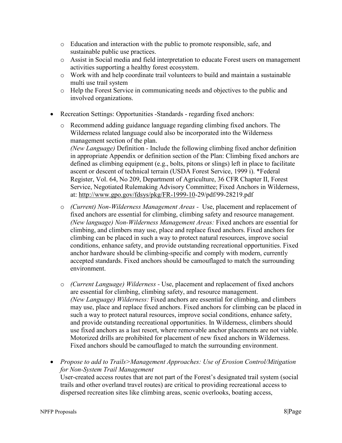- o Education and interaction with the public to promote responsible, safe, and sustainable public use practices.
- o Assist in Social media and field interpretation to educate Forest users on management activities supporting a healthy forest ecosystem.
- o Work with and help coordinate trail volunteers to build and maintain a sustainable multi use trail system
- o Help the Forest Service in communicating needs and objectives to the public and involved organizations.
- Recreation Settings: Opportunities -Standards regarding fixed anchors:
	- o Recommend adding guidance language regarding climbing fixed anchors. The Wilderness related language could also be incorporated into the Wilderness management section of the plan.

*(New Language)* Definition - Include the following climbing fixed anchor definition in appropriate Appendix or definition section of the Plan: Climbing fixed anchors are defined as climbing equipment (e.g., bolts, pitons or slings) left in place to facilitate ascent or descent of technical terrain (USDA Forest Service, 1999 i). \*Federal Register, Vol. 64, No 209, Department of Agriculture, 36 CFR Chapter II, Forest Service, Negotiated Rulemaking Advisory Committee; Fixed Anchors in Wilderness, at: [http://www.gpo.gov/fdsys/pkg/FR-1999-10-](http://www.gpo.gov/fdsys/pkg/FR-1999-10)29/pdf/99-28219.pdf

- o *(Current) Non-Wilderness Management Areas -* Use, placement and replacement of fixed anchors are essential for climbing, climbing safety and resource management. *(New language) Non-Wilderness Management Areas:* Fixed anchors are essential for climbing, and climbers may use, place and replace fixed anchors. Fixed anchors for climbing can be placed in such a way to protect natural resources, improve social conditions, enhance safety, and provide outstanding recreational opportunities. Fixed anchor hardware should be climbing-specific and comply with modern, currently accepted standards. Fixed anchors should be camouflaged to match the surrounding environment.
- o *(Current Language) Wilderness -* Use, placement and replacement of fixed anchors are essential for climbing, climbing safety, and resource management. *(New Language) Wilderness:* Fixed anchors are essential for climbing, and climbers may use, place and replace fixed anchors. Fixed anchors for climbing can be placed in such a way to protect natural resources, improve social conditions, enhance safety, and provide outstanding recreational opportunities. In Wilderness, climbers should use fixed anchors as a last resort, where removable anchor placements are not viable. Motorized drills are prohibited for placement of new fixed anchors in Wilderness. Fixed anchors should be camouflaged to match the surrounding environment.
- *Propose to add to Trails>Management Approaches: Use of Erosion Control/Mitigation for Non-System Trail Management*

User-created access routes that are not part of the Forest's designated trail system (social trails and other overland travel routes) are critical to providing recreational access to dispersed recreation sites like climbing areas, scenic overlooks, boating access,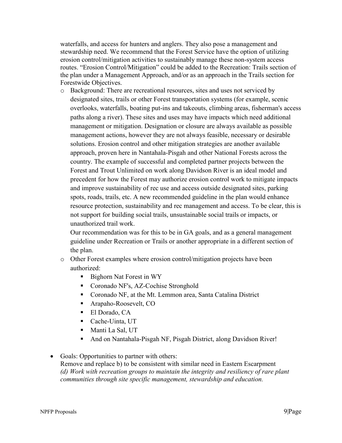waterfalls, and access for hunters and anglers. They also pose a management and stewardship need. We recommend that the Forest Service have the option of utilizing erosion control/mitigation activities to sustainably manage these non-system access routes. "Erosion Control/Mitigation" could be added to the Recreation: Trails section of the plan under a Management Approach, and/or as an approach in the Trails section for Forestwide Objectives.

o Background: There are recreational resources, sites and uses not serviced by designated sites, trails or other Forest transportation systems (for example, scenic overlooks, waterfalls, boating put-ins and takeouts, climbing areas, fisherman's access paths along a river). These sites and uses may have impacts which need additional management or mitigation. Designation or closure are always available as possible management actions, however they are not always feasible, necessary or desirable solutions. Erosion control and other mitigation strategies are another available approach, proven here in Nantahala-Pisgah and other National Forests across the country. The example of successful and completed partner projects between the Forest and Trout Unlimited on work along Davidson River is an ideal model and precedent for how the Forest may authorize erosion control work to mitigate impacts and improve sustainability of rec use and access outside designated sites, parking spots, roads, trails, etc. A new recommended guideline in the plan would enhance resource protection, sustainability and rec management and access. To be clear, this is not support for building social trails, unsustainable social trails or impacts, or unauthorized trail work.

Our recommendation was for this to be in GA goals, and as a general management guideline under Recreation or Trails or another appropriate in a different section of the plan.

- o Other Forest examples where erosion control/mitigation projects have been authorized:
	- Bighorn Nat Forest in WY
	- Coronado NF's, AZ-Cochise Stronghold
	- Coronado NF, at the Mt. Lemmon area, Santa Catalina District
	- Arapaho-Roosevelt, CO
	- El Dorado, CA
	- Cache-Uinta, UT
	- Manti La Sal, UT
	- And on Nantahala-Pisgah NF, Pisgah District, along Davidson River!
- Goals: Opportunities to partner with others: Remove and replace b) to be consistent with similar need in Eastern Escarpment *(d) Work with recreation groups to maintain the integrity and resiliency of rare plant communities through site specific management, stewardship and education.*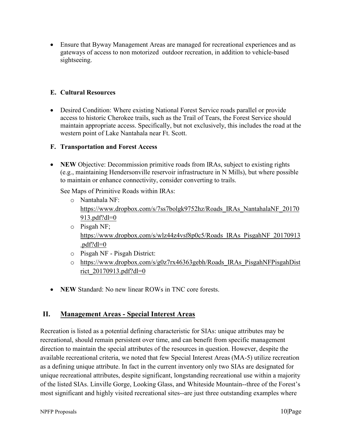• Ensure that Byway Management Areas are managed for recreational experiences and as gateways of access to non motorized outdoor recreation, in addition to vehicle-based sightseeing.

### <span id="page-13-0"></span>**E. Cultural Resources**

• Desired Condition: Where existing National Forest Service roads parallel or provide access to historic Cherokee trails, such as the Trail of Tears, the Forest Service should maintain appropriate access. Specifically, but not exclusively, this includes the road at the western point of Lake Nantahala near Ft. Scott.

#### <span id="page-13-1"></span>**F. Transportation and Forest Access**

• **NEW** Objective: Decommission primitive roads from IRAs, subject to existing rights (e.g., maintaining Hendersonville reservoir infrastructure in N Mills), but where possible to maintain or enhance connectivity, consider converting to trails.

See Maps of Primitive Roads within IRAs:

- o Nantahala NF: [https://www.dropbox.com/s/7ss7bolgk9752hz/Roads\\_IRAs\\_NantahalaNF\\_20170](https://www.dropbox.com/s/7ss7bolgk9752hz/Roads_IRAs_NantahalaNF_20170913.pdf?dl=0) [913.pdf?dl=0](https://www.dropbox.com/s/7ss7bolgk9752hz/Roads_IRAs_NantahalaNF_20170913.pdf?dl=0)
- o Pisgah NF; [https://www.dropbox.com/s/wlz44z4vsf8p0c5/Roads\\_IRAs\\_PisgahNF\\_20170913](https://www.dropbox.com/s/wlz44z4vsf8p0c5/Roads_IRAs_PisgahNF_20170913.pdf?dl=0) [.pdf?dl=0](https://www.dropbox.com/s/wlz44z4vsf8p0c5/Roads_IRAs_PisgahNF_20170913.pdf?dl=0)
- o Pisgah NF Pisgah District:
- o [https://www.dropbox.com/s/g0z7rx46363gebh/Roads\\_IRAs\\_PisgahNFPisgahDist](https://www.dropbox.com/s/g0z7rx46363gebh/Roads_IRAs_PisgahNFPisgahDistrict_20170913.pdf?dl=0) [rict\\_20170913.pdf?dl=0](https://www.dropbox.com/s/g0z7rx46363gebh/Roads_IRAs_PisgahNFPisgahDistrict_20170913.pdf?dl=0)
- **NEW** Standard: No new linear ROWs in TNC core forests.

# <span id="page-13-2"></span>**II. Management Areas - Special Interest Areas**

Recreation is listed as a potential defining characteristic for SIAs: unique attributes may be recreational, should remain persistent over time, and can benefit from specific management direction to maintain the special attributes of the resources in question. However, despite the available recreational criteria, we noted that few Special Interest Areas (MA-5) utilize recreation as a defining unique attribute. In fact in the current inventory only two SIAs are designated for unique recreational attributes, despite significant, longstanding recreational use within a majority of the listed SIAs. Linville Gorge, Looking Glass, and Whiteside Mountain--three of the Forest's most significant and highly visited recreational sites--are just three outstanding examples where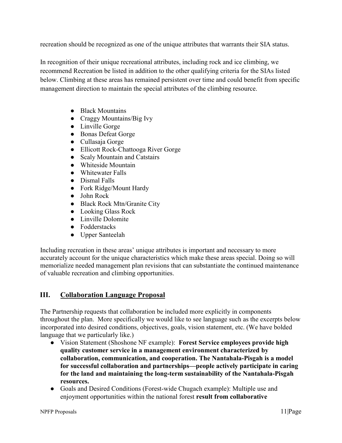recreation should be recognized as one of the unique attributes that warrants their SIA status.

In recognition of their unique recreational attributes, including rock and ice climbing, we recommend Recreation be listed in addition to the other qualifying criteria for the SIAs listed below. Climbing at these areas has remained persistent over time and could benefit from specific management direction to maintain the special attributes of the climbing resource.

- Black Mountains
- Craggy Mountains/Big Ivy
- Linville Gorge
- Bonas Defeat Gorge
- Cullasaja Gorge
- Ellicott Rock-Chattooga River Gorge
- Scaly Mountain and Catstairs
- Whiteside Mountain
- Whitewater Falls
- Dismal Falls
- Fork Ridge/Mount Hardy
- John Rock
- Black Rock Mtn/Granite City
- Looking Glass Rock
- Linville Dolomite
- Fodderstacks
- Upper Santeelah

Including recreation in these areas' unique attributes is important and necessary to more accurately account for the unique characteristics which make these areas special. Doing so will memorialize needed management plan revisions that can substantiate the continued maintenance of valuable recreation and climbing opportunities.

# <span id="page-14-0"></span>**III. Collaboration Language Proposal**

The Partnership requests that collaboration be included more explicitly in components throughout the plan. More specifically we would like to see language such as the excerpts below incorporated into desired conditions, objectives, goals, vision statement, etc. (We have bolded language that we particularly like.)

- Vision Statement (Shoshone NF example): **Forest Service employees provide high quality customer service in a management environment characterized by collaboration, communication, and cooperation. The Nantahala-Pisgah is a model for successful collaboration and partnerships—people actively participate in caring for the land and maintaining the long-term sustainability of the Nantahala-Pisgah resources.**
- Goals and Desired Conditions (Forest-wide Chugach example): Multiple use and enjoyment opportunities within the national forest **result from collaborative**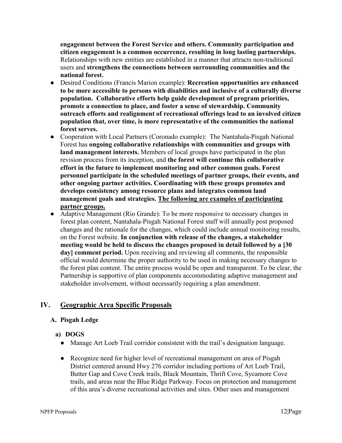**engagement between the Forest Service and others. Community participation and citizen engagement is a common occurrence, resulting in long lasting partnerships.**  Relationships with new entities are established in a manner that attracts non-traditional users and **strengthens the connections between surrounding communities and the national forest.** 

- Desired Conditions (Francis Marion example): **Recreation opportunities are enhanced to be more accessible to persons with disabilities and inclusive of a culturally diverse population. Collaborative efforts help guide development of program priorities, promote a connection to place, and foster a sense of stewardship. Community outreach efforts and realignment of recreational offerings lead to an involved citizen population that, over time, is more representative of the communities the national forest serves.**
- Cooperation with Local Partners (Coronado example): The Nantahala-Pisgah National Forest has **ongoing collaborative relationships with communities and groups with land management interests.** Members of local groups have participated in the plan revision process from its inception, and **the forest will continue this collaborative effort in the future to implement monitoring and other common goals. Forest personnel participate in the scheduled meetings of partner groups, their events, and other ongoing partner activities. Coordinating with these groups promotes and develops consistency among resource plans and integrates common land management goals and strategies. The following are examples of participating partner groups.**
- Adaptive Management (Rio Grande): To be more responsive to necessary changes in forest plan content, Nantahala-Pisgah National Forest staff will annually post proposed changes and the rationale for the changes, which could include annual monitoring results, on the Forest website. **In conjunction with release of the changes, a stakeholder meeting would be held to discuss the changes proposed in detail followed by a [30 day] comment period.** Upon receiving and reviewing all comments, the responsible official would determine the proper authority to be used in making necessary changes to the forest plan content. The entire process would be open and transparent. To be clear, the Partnership is supportive of plan components accommodating adaptive management and stakeholder involvement, without necessarily requiring a plan amendment.

# <span id="page-15-1"></span><span id="page-15-0"></span>**IV. Geographic Area Specific Proposals**

#### **A. Pisgah Ledge**

#### **a) DOGS**

- Manage Art Loeb Trail corridor consistent with the trail's designation language.
- Recognize need for higher level of recreational management on area of Pisgah District centered around Hwy 276 corridor including portions of Art Loeb Trail, Butter Gap and Cove Creek trails, Black Mountain, Thrift Cove, Sycamore Cove trails, and areas near the Blue Ridge Parkway. Focus on protection and management of this area's diverse recreational activities and sites. Other uses and management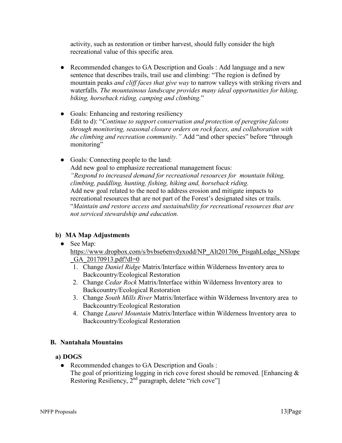activity, such as restoration or timber harvest, should fully consider the high recreational value of this specific area.

- Recommended changes to GA Description and Goals : Add language and a new sentence that describes trails, trail use and climbing: "The region is defined by mountain peaks *and cliff faces that give way* to narrow valleys with striking rivers and waterfalls. *The mountainous landscape provides many ideal opportunities for hiking, biking, horseback riding, camping and climbing.*"
- Goals: Enhancing and restoring resiliency Edit to d): "*Continue to support conservation and protection of peregrine falcons through monitoring, seasonal closure orders on rock faces, and collaboration with the climbing and recreation community."* Add "and other species" before "through monitoring"
- Goals: Connecting people to the land: Add new goal to emphasize recreational management focus: *"Respond to increased demand for recreational resources for mountain biking, climbing, paddling, hunting, fishing, hiking and, horseback riding.* Add new goal related to the need to address erosion and mitigate impacts to recreational resources that are not part of the Forest's designated sites or trails. "*Maintain and restore access and sustainability for recreational resources that are not serviced stewardship and education.*

#### **b) MA Map Adjustments**

● See Map:

[https://www.dropbox.com/s/bvbse6envdyxodd/NP\\_Alt201706\\_PisgahLedge\\_NSlope](https://www.dropbox.com/s/bvbse6envdyxodd/NP_Alt201706_PisgahLedge_NSlope_GA_20170913.pdf?dl=0) [\\_GA\\_20170913.pdf?dl=0](https://www.dropbox.com/s/bvbse6envdyxodd/NP_Alt201706_PisgahLedge_NSlope_GA_20170913.pdf?dl=0)

- 1. Change *Daniel Ridge* Matrix/Interface within Wilderness Inventory area to Backcountry/Ecological Restoration
- 2. Change *Cedar Rock* Matrix/Interface within Wilderness Inventory area to Backcountry/Ecological Restoration
- 3. Change *South Mills River* Matrix/Interface within Wilderness Inventory area to Backcountry/Ecological Restoration
- 4. Change *Laurel Mountain* Matrix/Interface within Wilderness Inventory area to Backcountry/Ecological Restoration

#### <span id="page-16-0"></span>**B. Nantahala Mountains**

#### **a) DOGS**

• Recommended changes to GA Description and Goals : The goal of prioritizing logging in rich cove forest should be removed. [Enhancing  $\&$ Restoring Resiliency, 2<sup>nd</sup> paragraph, delete "rich cove"]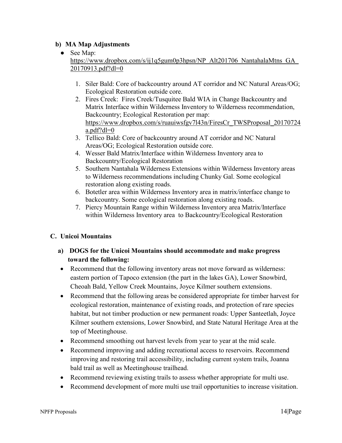#### ● See Map:

[https://www.dropbox.com/s/ij1q5gum0p3hpsn/NP\\_Alt201706\\_NantahalaMtns\\_GA\\_](https://www.dropbox.com/s/ij1q5gum0p3hpsn/NP_Alt201706_NantahalaMtns_GA_20170913.pdf?dl=0)\_ [20170913.pdf?dl=0](https://www.dropbox.com/s/ij1q5gum0p3hpsn/NP_Alt201706_NantahalaMtns_GA_20170913.pdf?dl=0)

- 1. Siler Bald: Core of backcountry around AT corridor and NC Natural Areas/OG; Ecological Restoration outside core.
- 2. Fires Creek: Fires Creek/Tusquitee Bald WIA in Change Backcountry and Matrix Interface within Wilderness Inventory to Wilderness recommendation, Backcountry; Ecological Restoration per map: [https://www.dropbox.com/s/ruauiwsfgv7l43n/FiresCr\\_TWSProposal\\_20170724](https://www.dropbox.com/s/ruauiwsfgv7l43n/FiresCr_TWSProposal_20170724a.pdf?dl=0) [a.pdf?dl=0](https://www.dropbox.com/s/ruauiwsfgv7l43n/FiresCr_TWSProposal_20170724a.pdf?dl=0)
- 3. Tellico Bald: Core of backcountry around AT corridor and NC Natural Areas/OG; Ecological Restoration outside core.
- 4. Wesser Bald Matrix/Interface within Wilderness Inventory area to Backcountry/Ecological Restoration
- 5. Southern Nantahala Wilderness Extensions within Wilderness Inventory areas to Wilderness recommendations including Chunky Gal. Some ecological restoration along existing roads.
- 6. Botetler area within Wilderness Inventory area in matrix/interface change to backcountry. Some ecological restoration along existing roads.
- 7. Piercy Mountain Range within Wilderness Inventory area Matrix/Interface within Wilderness Inventory area to Backcountry/Ecological Restoration

# <span id="page-17-0"></span>**C. Unicoi Mountains**

- **a) DOGS for the Unicoi Mountains should accommodate and make progress toward the following:**
- Recommend that the following inventory areas not move forward as wilderness: eastern portion of Tapoco extension (the part in the lakes GA), Lower Snowbird, Cheoah Bald, Yellow Creek Mountains, Joyce Kilmer southern extensions.
- Recommend that the following areas be considered appropriate for timber harvest for ecological restoration, maintenance of existing roads, and protection of rare species habitat, but not timber production or new permanent roads: Upper Santeetlah, Joyce Kilmer southern extensions, Lower Snowbird, and State Natural Heritage Area at the top of Meetinghouse.
- Recommend smoothing out harvest levels from year to year at the mid scale.
- Recommend improving and adding recreational access to reservoirs. Recommend improving and restoring trail accessibility, including current system trails, Joanna bald trail as well as Meetinghouse trailhead.
- Recommend reviewing existing trails to assess whether appropriate for multi use.
- Recommend development of more multi use trail opportunities to increase visitation.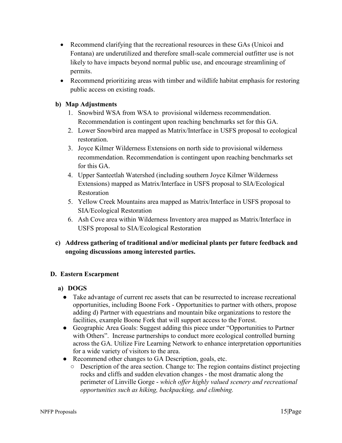- Recommend clarifying that the recreational resources in these GAs (Unicoi and Fontana) are underutilized and therefore small-scale commercial outfitter use is not likely to have impacts beyond normal public use, and encourage streamlining of permits.
- Recommend prioritizing areas with timber and wildlife habitat emphasis for restoring public access on existing roads.

- 1. Snowbird WSA from WSA to provisional wilderness recommendation. Recommendation is contingent upon reaching benchmarks set for this GA.
- 2. Lower Snowbird area mapped as Matrix/Interface in USFS proposal to ecological restoration.
- 3. Joyce Kilmer Wilderness Extensions on north side to provisional wilderness recommendation. Recommendation is contingent upon reaching benchmarks set for this GA.
- 4. Upper Santeetlah Watershed (including southern Joyce Kilmer Wilderness Extensions) mapped as Matrix/Interface in USFS proposal to SIA/Ecological Restoration
- 5. Yellow Creek Mountains area mapped as Matrix/Interface in USFS proposal to SIA/Ecological Restoration
- 6. Ash Cove area within Wilderness Inventory area mapped as Matrix/Interface in USFS proposal to SIA/Ecological Restoration
- **c) Address gathering of traditional and/or medicinal plants per future feedback and ongoing discussions among interested parties.**

#### <span id="page-18-0"></span>**D. Eastern Escarpment**

#### **a) DOGS**

- Take advantage of current rec assets that can be resurrected to increase recreational opportunities, including Boone Fork - Opportunities to partner with others, propose adding d) Partner with equestrians and mountain bike organizations to restore the facilities, example Boone Fork that will support access to the Forest.
- Geographic Area Goals: Suggest adding this piece under "Opportunities to Partner with Others". Increase partnerships to conduct more ecological controlled burning across the GA. Utilize Fire Learning Network to enhance interpretation opportunities for a wide variety of visitors to the area.
- Recommend other changes to GA Description, goals, etc.
	- Description of the area section. Change to: The region contains distinct projecting rocks and cliffs and sudden elevation changes - the most dramatic along the perimeter of Linville Gorge - *which offer highly valued scenery and recreational opportunities such as hiking, backpacking, and climbing.*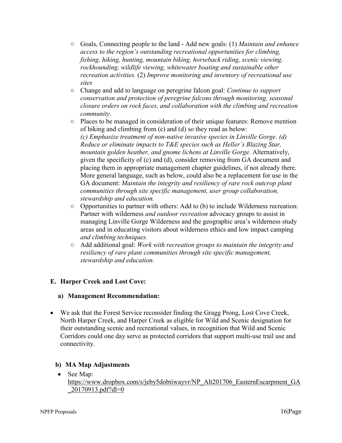- Goals, Connecting people to the land Add new goals: (1) *Maintain and enhance access to the region's outstanding recreational opportunities for climbing, fishing, hiking, hunting, mountain biking, horseback riding, scenic viewing, rockhounding, wildlife viewing, whitewater boating and sustainable other recreation activities.* (2) *Improve monitoring and inventory of recreational use sites*
- Change and add to language on peregrine falcon goal: *Continue to support conservation and protection of peregrine falcons through monitoring, seasonal closure orders on rock faces, and collaboration with the climbing and recreation community.*
- Places to be managed in consideration of their unique features: Remove mention of hiking and climbing from (c) and (d) so they read as below: *(c) Emphasize treatment of non-native invasive species in Linville Gorge. (d) Reduce or eliminate impacts to T&E species such as Heller's Blazing Star, mountain golden heather, and gnome lichens at Linville Gorge.* Alternatively, given the specificity of (c) and (d), consider removing from GA document and placing them in appropriate management chapter guidelines, if not already there. More general language, such as below, could also be a replacement for use in the GA document: *Maintain the integrity and resiliency of rare rock outcrop plant communities through site specific management, user group collaboration, stewardship and education.*
- Opportunities to partner with others: Add to (b) to include Wilderness recreation: Partner with wilderness *and outdoor recreation* advocacy groups to assist in managing Linville Gorge Wilderness and the geographic area's wilderness study areas and in educating visitors about wilderness ethics and low impact camping *and climbing techniques.*
- Add additional goal: *Work with recreation groups to maintain the integrity and resiliency of rare plant communities through site specific management, stewardship and education.*

# <span id="page-19-0"></span>**E. Harper Creek and Lost Cove:**

#### **a) Management Recommendation:**

• We ask that the Forest Service reconsider finding the Gragg Prong, Lost Cove Creek, North Harper Creek, and Harper Creek as eligible for Wild and Scenic designation for their outstanding scenic and recreational values, in recognition that Wild and Scenic Corridors could one day serve as protected corridors that support multi-use trail use and connectivity.

# **b) MA Map Adjustments**

• See Map:

[https://www.dropbox.com/s/jeby5dobtiwayvr/NP\\_Alt201706\\_EasternEscarpment\\_GA](https://www.dropbox.com/s/jeby5dobtiwayvr/NP_Alt201706_EasternEscarpment_GA_20170913.pdf?dl=0) [\\_20170913.pdf?dl=0](https://www.dropbox.com/s/jeby5dobtiwayvr/NP_Alt201706_EasternEscarpment_GA_20170913.pdf?dl=0)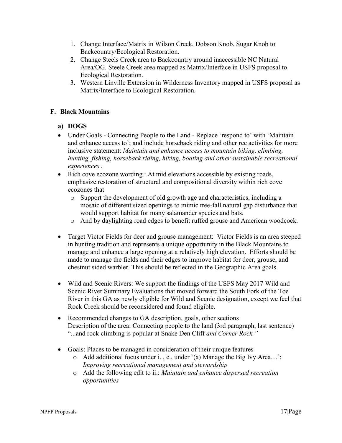- 1. Change Interface/Matrix in Wilson Creek, Dobson Knob, Sugar Knob to Backcountry/Ecological Restoration.
- 2. Change Steels Creek area to Backcountry around inaccessible NC Natural Area/OG. Steele Creek area mapped as Matrix/Interface in USFS proposal to Ecological Restoration.
- 3. Western Linville Extension in Wilderness Inventory mapped in USFS proposal as Matrix/Interface to Ecological Restoration.

# <span id="page-20-0"></span>**F. Black Mountains**

# **a) DOGS**

- Under Goals Connecting People to the Land Replace 'respond to' with 'Maintain and enhance access to'; and include horseback riding and other rec activities for more inclusive statement: *Maintain and enhance access to mountain biking, climbing, hunting, fishing, horseback riding, hiking, boating and other sustainable recreational experiences .*
- Rich cove ecozone wording : At mid elevations accessible by existing roads, emphasize restoration of structural and compositional diversity within rich cove ecozones that
	- o Support the development of old growth age and characteristics, including a mosaic of different sized openings to mimic tree-fall natural gap disturbance that would support habitat for many salamander species and bats.
	- o And by daylighting road edges to benefit ruffed grouse and American woodcock.
- Target Victor Fields for deer and grouse management: Victor Fields is an area steeped in hunting tradition and represents a unique opportunity in the Black Mountains to manage and enhance a large opening at a relatively high elevation. Efforts should be made to manage the fields and their edges to improve habitat for deer, grouse, and chestnut sided warbler. This should be reflected in the Geographic Area goals.
- Wild and Scenic Rivers: We support the findings of the USFS May 2017 Wild and Scenic River Summary Evaluations that moved forward the South Fork of the Toe River in this GA as newly eligible for Wild and Scenic designation, except we feel that Rock Creek should be reconsidered and found eligible.
- Recommended changes to GA description, goals, other sections Description of the area: Connecting people to the land (3rd paragraph, last sentence) "...and rock climbing is popular at Snake Den Cliff *and Corner Rock."*
- Goals: Places to be managed in consideration of their unique features
	- o Add additional focus under i. , e., under '(a) Manage the Big Ivy Area…': *Improving recreational management and stewardship*
	- o Add the following edit to ii.: *Maintain and enhance dispersed recreation opportunities*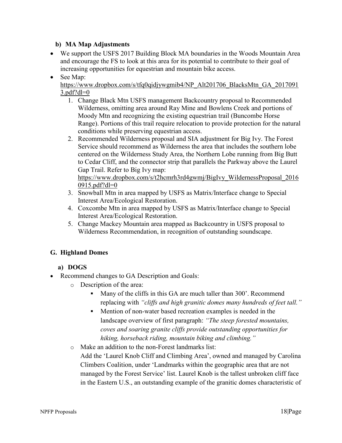• We support the USFS 2017 Building Block MA boundaries in the Woods Mountain Area and encourage the FS to look at this area for its potential to contribute to their goal of increasing opportunities for equestrian and mountain bike access.

#### • See Map: [https://www.dropbox.com/s/tfq0qidjywgmib4/NP\\_Alt201706\\_BlacksMtn\\_GA\\_2017091](https://www.dropbox.com/s/tfq0qidjywgmib4/NP_Alt201706_BlacksMtn_GA_20170913.pdf?dl=0)  $3.pdf$ ?dl=0

- 1. Change Black Mtn USFS management Backcountry proposal to Recommended Wilderness, omitting area around Ray Mine and Bowlens Creek and portions of Moody Mtn and recognizing the existing equestrian trail (Buncombe Horse Range). Portions of this trail require relocation to provide protection for the natural conditions while preserving equestrian access.
- 2. Recommended Wilderness proposal and SIA adjustment for Big Ivy. The Forest Service should recommend as Wilderness the area that includes the southern lobe centered on the Wilderness Study Area, the Northern Lobe running from Big Butt to Cedar Cliff, and the connector strip that parallels the Parkway above the Laurel Gap Trail. Refer to Big Ivy map:

#### [https://www.dropbox.com/s/t2hcmrh3rd4gwmj/BigIvy\\_WildernessProposal\\_2016](https://www.dropbox.com/s/t2hcmrh3rd4gwmj/BigIvy_WildernessProposal_20160915.pdf?dl=0) [0915.pdf?dl=0](https://www.dropbox.com/s/t2hcmrh3rd4gwmj/BigIvy_WildernessProposal_20160915.pdf?dl=0)

- 3. Snowball Mtn in area mapped by USFS as Matrix/Interface change to Special Interest Area/Ecological Restoration.
- 4. Coxcombe Mtn in area mapped by USFS as Matrix/Interface change to Special Interest Area/Ecological Restoration.
- 5. Change Mackey Mountain area mapped as Backcountry in USFS proposal to Wilderness Recommendation, in recognition of outstanding soundscape.

# <span id="page-21-0"></span>**G. Highland Domes**

# **a) DOGS**

- Recommend changes to GA Description and Goals:
	- o Description of the area:
		- Many of the cliffs in this GA are much taller than 300'. Recommend replacing with *"cliffs and high granitic domes many hundreds of feet tall."*
		- Mention of non-water based recreation examples is needed in the landscape overview of first paragraph: *"The steep forested mountains, coves and soaring granite cliffs provide outstanding opportunities for hiking, horseback riding, mountain biking and climbing."*
	- o Make an addition to the non-Forest landmarks list: Add the 'Laurel Knob Cliff and Climbing Area', owned and managed by Carolina Climbers Coalition, under 'Landmarks within the geographic area that are not managed by the Forest Service' list. Laurel Knob is the tallest unbroken cliff face in the Eastern U.S., an outstanding example of the granitic domes characteristic of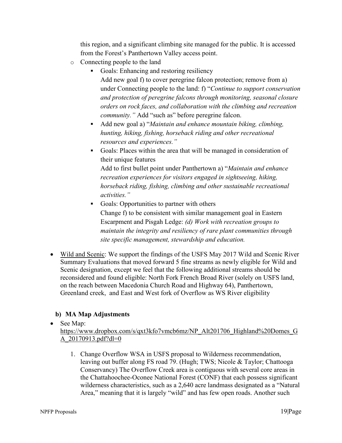this region, and a significant climbing site managed for the public. It is accessed from the Forest's Panthertown Valley access point.

- o Connecting people to the land
	- Goals: Enhancing and restoring resiliency Add new goal f) to cover peregrine falcon protection; remove from a) under Connecting people to the land: f) "*Continue to support conservation and protection of peregrine falcons through monitoring, seasonal closure orders on rock faces, and collaboration with the climbing and recreation community."* Add "such as" before peregrine falcon.
	- Add new goal a) "*Maintain and enhance mountain biking, climbing, hunting, hiking, fishing, horseback riding and other recreational resources and experiences."*
	- Goals: Places within the area that will be managed in consideration of their unique features

Add to first bullet point under Panthertown a) "*Maintain and enhance recreation experiences for visitors engaged in sightseeing, hiking, horseback riding, fishing, climbing and other sustainable recreational activities."*

- Goals: Opportunities to partner with others Change f) to be consistent with similar management goal in Eastern Escarpment and Pisgah Ledge: *(d) Work with recreation groups to maintain the integrity and resiliency of rare plant communities through site specific management, stewardship and education.*
- Wild and Scenic: We support the findings of the USFS May 2017 Wild and Scenic River Summary Evaluations that moved forward 5 fine streams as newly eligible for Wild and Scenic designation, except we feel that the following additional streams should be reconsidered and found eligible: North Fork French Broad River (solely on USFS land, on the reach between Macedonia Church Road and Highway 64), Panthertown, Greenland creek, and East and West fork of Overflow as WS River eligibility

# **b) MA Map Adjustments**

• See Map:

[https://www.dropbox.com/s/qxt3kfo7vmcb6mz/NP\\_Alt201706\\_Highland%20Domes\\_G](https://www.dropbox.com/s/qxt3kfo7vmcb6mz/NP_Alt201706_Highland%20Domes_GA_20170913.pdf?dl=0) [A\\_20170913.pdf?dl=0](https://www.dropbox.com/s/qxt3kfo7vmcb6mz/NP_Alt201706_Highland%20Domes_GA_20170913.pdf?dl=0)

1. Change Overflow WSA in USFS proposal to Wilderness recommendation, leaving out buffer along FS road 79. (Hugh; TWS; Nicole & Taylor; Chattooga Conservancy) The Overflow Creek area is contiguous with several core areas in the Chattahoochee-Oconee National Forest (CONF) that each possess significant wilderness characteristics, such as a 2,640 acre landmass designated as a "Natural Area," meaning that it is largely "wild" and has few open roads. Another such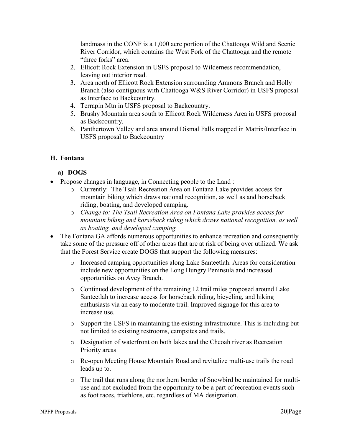landmass in the CONF is a 1,000 acre portion of the Chattooga Wild and Scenic River Corridor, which contains the West Fork of the Chattooga and the remote "three forks" area.

- 2. Ellicott Rock Extension in USFS proposal to Wilderness recommendation, leaving out interior road.
- 3. Area north of Ellicott Rock Extension surrounding Ammons Branch and Holly Branch (also contiguous with Chattooga W&S River Corridor) in USFS proposal as Interface to Backcountry.
- 4. Terrapin Mtn in USFS proposal to Backcountry.
- 5. Brushy Mountain area south to Ellicott Rock Wilderness Area in USFS proposal as Backcountry.
- 6. Panthertown Valley and area around Dismal Falls mapped in Matrix/Interface in USFS proposal to Backcountry

# <span id="page-23-0"></span>**H. Fontana**

### **a) DOGS**

- Propose changes in language, in Connecting people to the Land :
	- o Currently: The Tsali Recreation Area on Fontana Lake provides access for mountain biking which draws national recognition, as well as and horseback riding, boating, and developed camping.
	- o *Change to: The Tsali Recreation Area on Fontana Lake provides access for mountain biking and horseback riding which draws national recognition, as well as boating, and developed camping.*
- The Fontana GA affords numerous opportunities to enhance recreation and consequently take some of the pressure off of other areas that are at risk of being over utilized. We ask that the Forest Service create DOGS that support the following measures:
	- o Increased camping opportunities along Lake Santeetlah. Areas for consideration include new opportunities on the Long Hungry Peninsula and increased opportunities on Avey Branch.
	- o Continued development of the remaining 12 trail miles proposed around Lake Santeetlah to increase access for horseback riding, bicycling, and hiking enthusiasts via an easy to moderate trail. Improved signage for this area to increase use.
	- $\circ$  Support the USFS in maintaining the existing infrastructure. This is including but not limited to existing restrooms, campsites and trails.
	- o Designation of waterfront on both lakes and the Cheoah river as Recreation Priority areas
	- o Re-open Meeting House Mountain Road and revitalize multi-use trails the road leads up to.
	- o The trail that runs along the northern border of Snowbird be maintained for multiuse and not excluded from the opportunity to be a part of recreation events such as foot races, triathlons, etc. regardless of MA designation.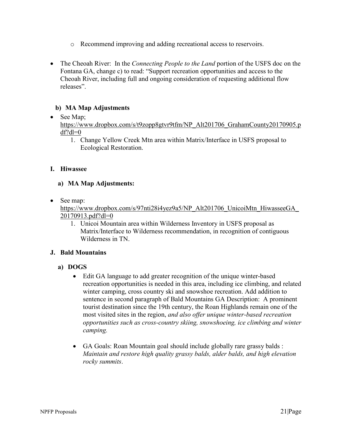- o Recommend improving and adding recreational access to reservoirs.
- The Cheoah River: In the *Connecting People to the Land* portion of the USFS doc on the Fontana GA, change c) to read: "Support recreation opportunities and access to the Cheoah River, including full and ongoing consideration of requesting additional flow releases".

• See Map;

[https://www.dropbox.com/s/t9zopp8gtvr9tfm/NP\\_Alt201706\\_GrahamCounty20170905.p](https://www.dropbox.com/s/t9zopp8gtvr9tfm/NP_Alt201706_GrahamCounty20170905.pdf?dl=0)  $df?dl=0$ 

1. Change Yellow Creek Mtn area within Matrix/Interface in USFS proposal to Ecological Restoration.

#### <span id="page-24-0"></span>**I. Hiwassee**

#### **a) MA Map Adjustments:**

• See map:

https://www.dropbox.com/s/97nti28i4yez9a5/NP\_Alt201706\_UnicoiMtn\_HiwasseeGA [20170913.pdf?dl=0](https://www.dropbox.com/s/97nti28i4yez9a5/NP_Alt201706_UnicoiMtn_HiwasseeGA_20170913.pdf?dl=0)

1. Unicoi Mountain area within Wilderness Inventory in USFS proposal as Matrix/Interface to Wilderness recommendation, in recognition of contiguous Wilderness in TN.

#### <span id="page-24-1"></span>**J. Bald Mountains**

- **a) DOGS**
	- Edit GA language to add greater recognition of the unique winter-based recreation opportunities is needed in this area, including ice climbing, and related winter camping, cross country ski and snowshoe recreation. Add addition to sentence in second paragraph of Bald Mountains GA Description: A prominent tourist destination since the 19th century, the Roan Highlands remain one of the most visited sites in the region, *and also offer unique winter-based recreation opportunities such as cross-country skiing, snowshoeing, ice climbing and winter camping.*
	- GA Goals: Roan Mountain goal should include globally rare grassy balds : *Maintain and restore high quality grassy balds, alder balds, and high elevation rocky summits*.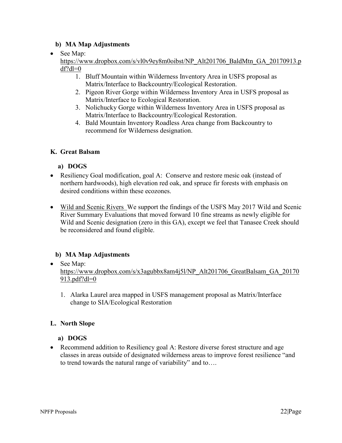## • See Map:

[https://www.dropbox.com/s/vl0v9ey8m0oibst/NP\\_Alt201706\\_BaldMtn\\_GA\\_20170913.p](https://www.dropbox.com/s/vl0v9ey8m0oibst/NP_Alt201706_BaldMtn_GA_20170913.pdf?dl=0)  $df$ ?dl=0

- 1. Bluff Mountain within Wilderness Inventory Area in USFS proposal as Matrix/Interface to Backcountry/Ecological Restoration.
- 2. Pigeon River Gorge within Wilderness Inventory Area in USFS proposal as Matrix/Interface to Ecological Restoration.
- 3. Nolichucky Gorge within Wilderness Inventory Area in USFS proposal as Matrix/Interface to Backcountry/Ecological Restoration.
- 4. Bald Mountain Inventory Roadless Area change from Backcountry to recommend for Wilderness designation.

### <span id="page-25-0"></span>**K. Great Balsam**

### **a) DOGS**

- Resiliency Goal modification, goal A: Conserve and restore mesic oak (instead of northern hardwoods), high elevation red oak, and spruce fir forests with emphasis on desired conditions within these ecozones.
- Wild and Scenic Rivers We support the findings of the USFS May 2017 Wild and Scenic River Summary Evaluations that moved forward 10 fine streams as newly eligible for Wild and Scenic designation (zero in this GA), except we feel that Tanasee Creek should be reconsidered and found eligible.

# **b) MA Map Adjustments**

• See Map:

[https://www.dropbox.com/s/x3agubbx8am4j5l/NP\\_Alt201706\\_GreatBalsam\\_GA\\_20170](https://www.dropbox.com/s/x3agubbx8am4j5l/NP_Alt201706_GreatBalsam_GA_20170913.pdf?dl=0) [913.pdf?dl=0](https://www.dropbox.com/s/x3agubbx8am4j5l/NP_Alt201706_GreatBalsam_GA_20170913.pdf?dl=0)

1. Alarka Laurel area mapped in USFS management proposal as Matrix/Interface change to SIA/Ecological Restoration

#### <span id="page-25-1"></span>**L. North Slope**

#### **a) DOGS**

• Recommend addition to Resiliency goal A: Restore diverse forest structure and age classes in areas outside of designated wilderness areas to improve forest resilience "and to trend towards the natural range of variability" and to….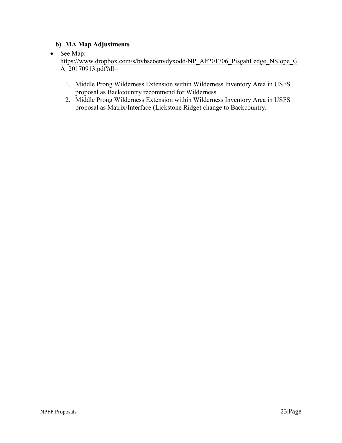• See Map:

[https://www.dropbox.com/s/bvbse6envdyxodd/NP\\_Alt201706\\_PisgahLedge\\_NSlope\\_G](https://www.dropbox.com/s/bvbse6envdyxodd/NP_Alt201706_PisgahLedge_NSlope_GA_20170913.pdf?dl=0)\_ [A\\_20170913.pdf?dl=](https://www.dropbox.com/s/bvbse6envdyxodd/NP_Alt201706_PisgahLedge_NSlope_GA_20170913.pdf?dl=0)

- 1. Middle Prong Wilderness Extension within Wilderness Inventory Area in USFS proposal as Backcountry recommend for Wilderness.
- 2. Middle Prong Wilderness Extension within Wilderness Inventory Area in USFS proposal as Matrix/Interface (Lickstone Ridge) change to Backcountry.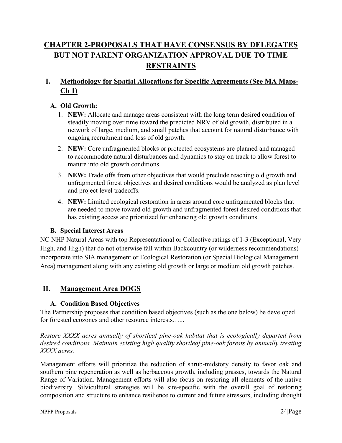# <span id="page-27-0"></span>**CHAPTER 2-PROPOSALS THAT HAVE CONSENSUS BY DELEGATES BUT NOT PARENT ORGANIZATION APPROVAL DUE TO TIME RESTRAINTS**

# <span id="page-27-1"></span>**I. Methodology for Spatial Allocations for Specific Agreements (See MA Maps-Ch 1)**

## <span id="page-27-2"></span>**A. Old Growth:**

- 1. **NEW:** Allocate and manage areas consistent with the long term desired condition of steadily moving over time toward the predicted NRV of old growth, distributed in a network of large, medium, and small patches that account for natural disturbance with ongoing recruitment and loss of old growth.
- 2. **NEW:** Core unfragmented blocks or protected ecosystems are planned and managed to accommodate natural disturbances and dynamics to stay on track to allow forest to mature into old growth conditions.
- 3. **NEW:** Trade offs from other objectives that would preclude reaching old growth and unfragmented forest objectives and desired conditions would be analyzed as plan level and project level tradeoffs.
- 4. **NEW:** Limited ecological restoration in areas around core unfragmented blocks that are needed to move toward old growth and unfragmented forest desired conditions that has existing access are prioritized for enhancing old growth conditions.

### <span id="page-27-3"></span>**B. Special Interest Areas**

NC NHP Natural Areas with top Representational or Collective ratings of 1-3 (Exceptional, Very High, and High) that do not otherwise fall within Backcountry (or wilderness recommendations) incorporate into SIA management or Ecological Restoration (or Special Biological Management Area) management along with any existing old growth or large or medium old growth patches.

# <span id="page-27-5"></span><span id="page-27-4"></span>**II. Management Area DOGS**

#### **A. Condition Based Objectives**

The Partnership proposes that condition based objectives (such as the one below) be developed for forested ecozones and other resource interests…...

*Restore XXXX acres annually of shortleaf pine-oak habitat that is ecologically departed from desired conditions. Maintain existing high quality shortleaf pine-oak forests by annually treating XXXX acres.*

Management efforts will prioritize the reduction of shrub-midstory density to favor oak and southern pine regeneration as well as herbaceous growth, including grasses, towards the Natural Range of Variation. Management efforts will also focus on restoring all elements of the native biodiversity. Silvicultural strategies will be site-specific with the overall goal of restoring composition and structure to enhance resilience to current and future stressors, including drought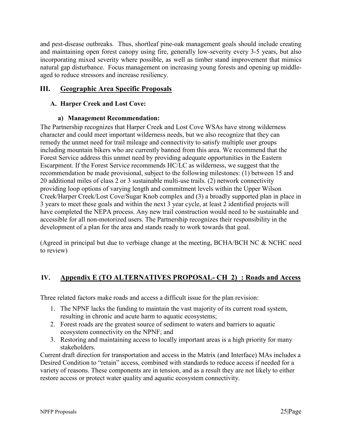and pest-disease outbreaks. Thus, shortleaf pine-oak management goals should include creating and maintaining open forest canopy using fire, generally low-severity every 3-5 years, but also incorporating mixed severity where possible, as well as timber stand improvement that mimics natural gap disturbance. Focus management on increasing young forests and opening up middleaged to reduce stressors and increase resiliency.

# <span id="page-28-1"></span><span id="page-28-0"></span>**III. Geographic Area Specific Proposals**

## **A. Harper Creek and Lost Cove:**

#### **a) Management Recommendation:**

The Partnership recognizes that Harper Creek and Lost Cove WSAs have strong wilderness character and could meet important wilderness needs, but we also recognize that they can remedy the unmet need for trail mileage and connectivity to satisfy multiple user groups including mountain bikers who are currently banned from this area. We recommend that the Forest Service address this unmet need by providing adequate opportunities in the Eastern Escarpment. If the Forest Service recommends HC/LC as wilderness, we suggest that the recommendation be made provisional, subject to the following milestones: (1) between 15 and 20 additional miles of class 2 or 3 sustainable multi-use trails. (2) network connectivity providing loop options of varying length and commitment levels within the Upper Wilson Creek/Harper Creek/Lost Cove/Sugar Knob complex and (3) a broadly supported plan in place in 3 years to meet these goals and within the next 3 year cycle, at least 2 identified projects will have completed the NEPA process. Any new trail construction would need to be sustainable and accessible for all non-motorized users. The Partnership recognizes their responsibility in the development of a plan for the area and stands ready to work towards that goal.

(Agreed in principal but due to verbiage change at the meeting, BCHA/BCH NC & NCHC need to review)

# <span id="page-28-2"></span>**IV. Appendix E (TO ALTERNATIVES PROPOSAL- CH 2) : Roads and Access**

Three related factors make roads and access a difficult issue for the plan revision:

- 1. The NPNF lacks the funding to maintain the vast majority of its current road system, resulting in chronic and acute harm to aquatic ecosystems;
- 2. Forest roads are the greatest source of sediment to waters and barriers to aquatic ecosystem connectivity on the NPNF; and
- 3. Restoring and maintaining access to locally important areas is a high priority for many stakeholders.

Current draft direction for transportation and access in the Matrix (and Interface) MAs includes a Desired Condition to "retain" access, combined with standards to reduce access if needed for a variety of reasons. These components are in tension, and as a result they are not likely to either restore access or protect water quality and aquatic ecosystem connectivity.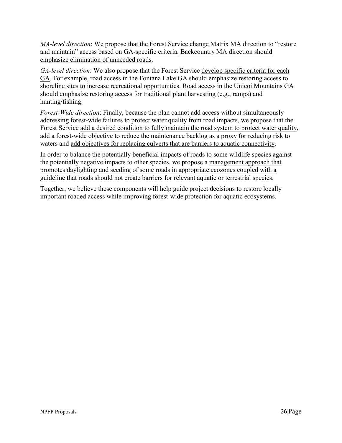*MA-level direction*: We propose that the Forest Service change Matrix MA direction to "restore and maintain" access based on GA-specific criteria. Backcountry MA direction should emphasize elimination of unneeded roads.

*GA-level direction*: We also propose that the Forest Service develop specific criteria for each GA. For example, road access in the Fontana Lake GA should emphasize restoring access to shoreline sites to increase recreational opportunities. Road access in the Unicoi Mountains GA should emphasize restoring access for traditional plant harvesting (e.g., ramps) and hunting/fishing.

*Forest-Wide direction*: Finally, because the plan cannot add access without simultaneously addressing forest-wide failures to protect water quality from road impacts, we propose that the Forest Service add a desired condition to fully maintain the road system to protect water quality, add a forest-wide objective to reduce the maintenance backlog as a proxy for reducing risk to waters and add objectives for replacing culverts that are barriers to aquatic connectivity.

In order to balance the potentially beneficial impacts of roads to some wildlife species against the potentially negative impacts to other species, we propose a management approach that promotes daylighting and seeding of some roads in appropriate ecozones coupled with a guideline that roads should not create barriers for relevant aquatic or terrestrial species.

Together, we believe these components will help guide project decisions to restore locally important roaded access while improving forest-wide protection for aquatic ecosystems.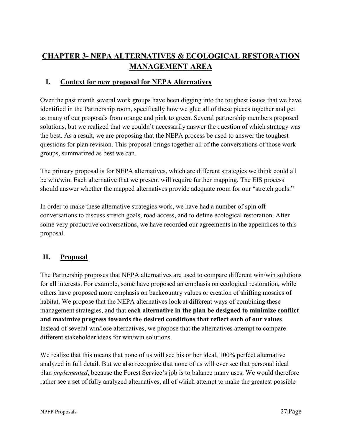# <span id="page-30-0"></span>**CHAPTER 3- NEPA ALTERNATIVES & ECOLOGICAL RESTORATION MANAGEMENT AREA**

# <span id="page-30-1"></span>**I. Context for new proposal for NEPA Alternatives**

Over the past month several work groups have been digging into the toughest issues that we have identified in the Partnership room, specifically how we glue all of these pieces together and get as many of our proposals from orange and pink to green. Several partnership members proposed solutions, but we realized that we couldn't necessarily answer the question of which strategy was the best. As a result, we are proposing that the NEPA process be used to answer the toughest questions for plan revision. This proposal brings together all of the conversations of those work groups, summarized as best we can.

The primary proposal is for NEPA alternatives, which are different strategies we think could all be win/win. Each alternative that we present will require further mapping. The EIS process should answer whether the mapped alternatives provide adequate room for our "stretch goals."

In order to make these alternative strategies work, we have had a number of spin off conversations to discuss stretch goals, road access, and to define ecological restoration. After some very productive conversations, we have recorded our agreements in the appendices to this proposal.

# <span id="page-30-2"></span>**II. Proposal**

The Partnership proposes that NEPA alternatives are used to compare different win/win solutions for all interests. For example, some have proposed an emphasis on ecological restoration, while others have proposed more emphasis on backcountry values or creation of shifting mosaics of habitat. We propose that the NEPA alternatives look at different ways of combining these management strategies, and that **each alternative in the plan be designed to minimize conflict and maximize progress towards the desired conditions that reflect each of our values**. Instead of several win/lose alternatives, we propose that the alternatives attempt to compare different stakeholder ideas for win/win solutions.

We realize that this means that none of us will see his or her ideal, 100% perfect alternative analyzed in full detail. But we also recognize that none of us will ever see that personal ideal plan *implemented*, because the Forest Service's job is to balance many uses. We would therefore rather see a set of fully analyzed alternatives, all of which attempt to make the greatest possible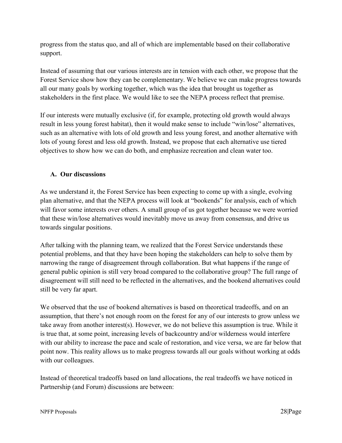progress from the status quo, and all of which are implementable based on their collaborative support.

Instead of assuming that our various interests are in tension with each other, we propose that the Forest Service show how they can be complementary. We believe we can make progress towards all our many goals by working together, which was the idea that brought us together as stakeholders in the first place. We would like to see the NEPA process reflect that premise.

If our interests were mutually exclusive (if, for example, protecting old growth would always result in less young forest habitat), then it would make sense to include "win/lose" alternatives, such as an alternative with lots of old growth and less young forest, and another alternative with lots of young forest and less old growth. Instead, we propose that each alternative use tiered objectives to show how we can do both, and emphasize recreation and clean water too.

# <span id="page-31-0"></span>**A. Our discussions**

As we understand it, the Forest Service has been expecting to come up with a single, evolving plan alternative, and that the NEPA process will look at "bookends" for analysis, each of which will favor some interests over others. A small group of us got together because we were worried that these win/lose alternatives would inevitably move us away from consensus, and drive us towards singular positions.

After talking with the planning team, we realized that the Forest Service understands these potential problems, and that they have been hoping the stakeholders can help to solve them by narrowing the range of disagreement through collaboration. But what happens if the range of general public opinion is still very broad compared to the collaborative group? The full range of disagreement will still need to be reflected in the alternatives, and the bookend alternatives could still be very far apart.

We observed that the use of bookend alternatives is based on theoretical tradeoffs, and on an assumption, that there's not enough room on the forest for any of our interests to grow unless we take away from another interest(s). However, we do not believe this assumption is true. While it is true that, at some point, increasing levels of backcountry and/or wilderness would interfere with our ability to increase the pace and scale of restoration, and vice versa, we are far below that point now. This reality allows us to make progress towards all our goals without working at odds with our colleagues.

Instead of theoretical tradeoffs based on land allocations, the real tradeoffs we have noticed in Partnership (and Forum) discussions are between: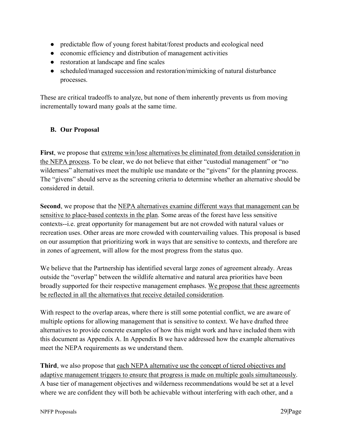- predictable flow of young forest habitat/forest products and ecological need
- economic efficiency and distribution of management activities
- restoration at landscape and fine scales
- scheduled/managed succession and restoration/mimicking of natural disturbance processes.

These are critical tradeoffs to analyze, but none of them inherently prevents us from moving incrementally toward many goals at the same time.

# <span id="page-32-0"></span>**B. Our Proposal**

**First**, we propose that extreme win/lose alternatives be eliminated from detailed consideration in the NEPA process. To be clear, we do not believe that either "custodial management" or "no wilderness" alternatives meet the multiple use mandate or the "givens" for the planning process. The "givens" should serve as the screening criteria to determine whether an alternative should be considered in detail.

**Second**, we propose that the NEPA alternatives examine different ways that management can be sensitive to place-based contexts in the plan. Some areas of the forest have less sensitive contexts--i.e. great opportunity for management but are not crowded with natural values or recreation uses. Other areas are more crowded with countervailing values. This proposal is based on our assumption that prioritizing work in ways that are sensitive to contexts, and therefore are in zones of agreement, will allow for the most progress from the status quo.

We believe that the Partnership has identified several large zones of agreement already. Areas outside the "overlap" between the wildlife alternative and natural area priorities have been broadly supported for their respective management emphases. We propose that these agreements be reflected in all the alternatives that receive detailed consideration.

With respect to the overlap areas, where there is still some potential conflict, we are aware of multiple options for allowing management that is sensitive to context. We have drafted three alternatives to provide concrete examples of how this might work and have included them with this document as Appendix A. In Appendix B we have addressed how the example alternatives meet the NEPA requirements as we understand them.

Third, we also propose that each NEPA alternative use the concept of tiered objectives and adaptive management triggers to ensure that progress is made on multiple goals simultaneously. A base tier of management objectives and wilderness recommendations would be set at a level where we are confident they will both be achievable without interfering with each other, and a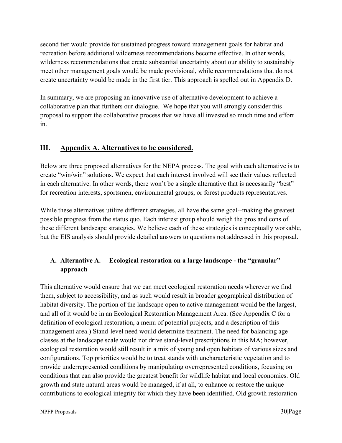second tier would provide for sustained progress toward management goals for habitat and recreation before additional wilderness recommendations become effective. In other words, wilderness recommendations that create substantial uncertainty about our ability to sustainably meet other management goals would be made provisional, while recommendations that do not create uncertainty would be made in the first tier. This approach is spelled out in Appendix D.

In summary, we are proposing an innovative use of alternative development to achieve a collaborative plan that furthers our dialogue. We hope that you will strongly consider this proposal to support the collaborative process that we have all invested so much time and effort in.

# <span id="page-33-0"></span>**III. Appendix A. Alternatives to be considered.**

Below are three proposed alternatives for the NEPA process. The goal with each alternative is to create "win/win" solutions. We expect that each interest involved will see their values reflected in each alternative. In other words, there won't be a single alternative that is necessarily "best" for recreation interests, sportsmen, environmental groups, or forest products representatives.

While these alternatives utilize different strategies, all have the same goal--making the greatest possible progress from the status quo. Each interest group should weigh the pros and cons of these different landscape strategies. We believe each of these strategies is conceptually workable, but the EIS analysis should provide detailed answers to questions not addressed in this proposal.

# <span id="page-33-1"></span>**A. Alternative A. Ecological restoration on a large landscape - the "granular" approach**

This alternative would ensure that we can meet ecological restoration needs wherever we find them, subject to accessibility, and as such would result in broader geographical distribution of habitat diversity. The portion of the landscape open to active management would be the largest, and all of it would be in an Ecological Restoration Management Area. (See Appendix C for a definition of ecological restoration, a menu of potential projects, and a description of this management area.) Stand-level need would determine treatment. The need for balancing age classes at the landscape scale would not drive stand-level prescriptions in this MA; however, ecological restoration would still result in a mix of young and open habitats of various sizes and configurations. Top priorities would be to treat stands with uncharacteristic vegetation and to provide underrepresented conditions by manipulating overrepresented conditions, focusing on conditions that can also provide the greatest benefit for wildlife habitat and local economies. Old growth and state natural areas would be managed, if at all, to enhance or restore the unique contributions to ecological integrity for which they have been identified. Old growth restoration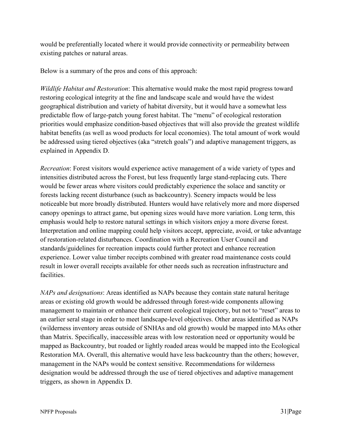would be preferentially located where it would provide connectivity or permeability between existing patches or natural areas.

Below is a summary of the pros and cons of this approach:

*Wildlife Habitat and Restoration*: This alternative would make the most rapid progress toward restoring ecological integrity at the fine and landscape scale and would have the widest geographical distribution and variety of habitat diversity, but it would have a somewhat less predictable flow of large-patch young forest habitat. The "menu" of ecological restoration priorities would emphasize condition-based objectives that will also provide the greatest wildlife habitat benefits (as well as wood products for local economies). The total amount of work would be addressed using tiered objectives (aka "stretch goals") and adaptive management triggers, as explained in Appendix D.

*Recreation*: Forest visitors would experience active management of a wide variety of types and intensities distributed across the Forest, but less frequently large stand-replacing cuts. There would be fewer areas where visitors could predictably experience the solace and sanctity or forests lacking recent disturbance (such as backcountry). Scenery impacts would be less noticeable but more broadly distributed. Hunters would have relatively more and more dispersed canopy openings to attract game, but opening sizes would have more variation. Long term, this emphasis would help to restore natural settings in which visitors enjoy a more diverse forest. Interpretation and online mapping could help visitors accept, appreciate, avoid, or take advantage of restoration-related disturbances. Coordination with a Recreation User Council and standards/guidelines for recreation impacts could further protect and enhance recreation experience. Lower value timber receipts combined with greater road maintenance costs could result in lower overall receipts available for other needs such as recreation infrastructure and facilities.

*NAPs and designations*: Areas identified as NAPs because they contain state natural heritage areas or existing old growth would be addressed through forest-wide components allowing management to maintain or enhance their current ecological trajectory, but not to "reset" areas to an earlier seral stage in order to meet landscape-level objectives. Other areas identified as NAPs (wilderness inventory areas outside of SNHAs and old growth) would be mapped into MAs other than Matrix. Specifically, inaccessible areas with low restoration need or opportunity would be mapped as Backcountry, but roaded or lightly roaded areas would be mapped into the Ecological Restoration MA. Overall, this alternative would have less backcountry than the others; however, management in the NAPs would be context sensitive. Recommendations for wilderness designation would be addressed through the use of tiered objectives and adaptive management triggers, as shown in Appendix D.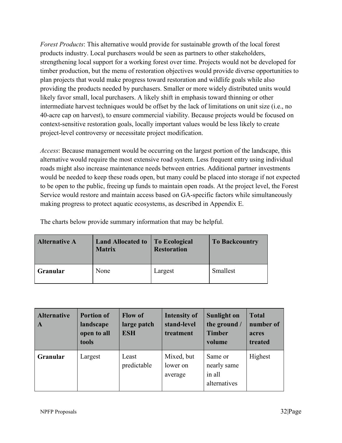*Forest Products*: This alternative would provide for sustainable growth of the local forest products industry. Local purchasers would be seen as partners to other stakeholders, strengthening local support for a working forest over time. Projects would not be developed for timber production, but the menu of restoration objectives would provide diverse opportunities to plan projects that would make progress toward restoration and wildlife goals while also providing the products needed by purchasers. Smaller or more widely distributed units would likely favor small, local purchasers. A likely shift in emphasis toward thinning or other intermediate harvest techniques would be offset by the lack of limitations on unit size (i.e., no 40-acre cap on harvest), to ensure commercial viability. Because projects would be focused on context-sensitive restoration goals, locally important values would be less likely to create project-level controversy or necessitate project modification.

*Access*: Because management would be occurring on the largest portion of the landscape, this alternative would require the most extensive road system. Less frequent entry using individual roads might also increase maintenance needs between entries. Additional partner investments would be needed to keep these roads open, but many could be placed into storage if not expected to be open to the public, freeing up funds to maintain open roads. At the project level, the Forest Service would restore and maintain access based on GA-specific factors while simultaneously making progress to protect aquatic ecosystems, as described in Appendix E.

The charts below provide summary information that may be helpful.

| <b>Alternative A</b> | <b>Land Allocated to</b><br><b>Matrix</b> | <b>To Ecological</b><br><b>Restoration</b> | <b>To Backcountry</b> |
|----------------------|-------------------------------------------|--------------------------------------------|-----------------------|
| <b>Granular</b>      | None                                      | Largest                                    | Smallest              |

| <b>Alternative</b><br>A | <b>Portion of</b><br>landscape<br>open to all<br>tools | <b>Flow of</b><br>large patch<br><b>ESH</b> | <b>Intensity of</b><br>stand-level<br>treatment | Sunlight on<br>the ground /<br><b>Timber</b><br>volume | <b>Total</b><br>number of<br>acres<br>treated |
|-------------------------|--------------------------------------------------------|---------------------------------------------|-------------------------------------------------|--------------------------------------------------------|-----------------------------------------------|
| Granular                | Largest                                                | Least<br>predictable                        | Mixed, but<br>lower on<br>average               | Same or<br>nearly same<br>in all<br>alternatives       | Highest                                       |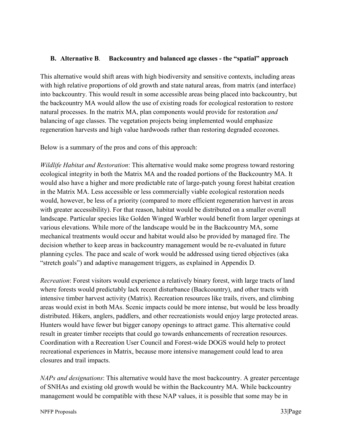#### <span id="page-36-0"></span>**B. Alternative B**. **Backcountry and balanced age classes - the "spatial" approach**

This alternative would shift areas with high biodiversity and sensitive contexts, including areas with high relative proportions of old growth and state natural areas, from matrix (and interface) into backcountry. This would result in some accessible areas being placed into backcountry, but the backcountry MA would allow the use of existing roads for ecological restoration to restore natural processes. In the matrix MA, plan components would provide for restoration *and* balancing of age classes. The vegetation projects being implemented would emphasize regeneration harvests and high value hardwoods rather than restoring degraded ecozones.

Below is a summary of the pros and cons of this approach:

*Wildlife Habitat and Restoration*: This alternative would make some progress toward restoring ecological integrity in both the Matrix MA and the roaded portions of the Backcountry MA. It would also have a higher and more predictable rate of large-patch young forest habitat creation in the Matrix MA. Less accessible or less commercially viable ecological restoration needs would, however, be less of a priority (compared to more efficient regeneration harvest in areas with greater accessibility). For that reason, habitat would be distributed on a smaller overall landscape. Particular species like Golden Winged Warbler would benefit from larger openings at various elevations. While more of the landscape would be in the Backcountry MA, some mechanical treatments would occur and habitat would also be provided by managed fire. The decision whether to keep areas in backcountry management would be re-evaluated in future planning cycles. The pace and scale of work would be addressed using tiered objectives (aka "stretch goals") and adaptive management triggers, as explained in Appendix D.

*Recreation*: Forest visitors would experience a relatively binary forest, with large tracts of land where forests would predictably lack recent disturbance (Backcountry), and other tracts with intensive timber harvest activity (Matrix). Recreation resources like trails, rivers, and climbing areas would exist in both MAs. Scenic impacts could be more intense, but would be less broadly distributed. Hikers, anglers, paddlers, and other recreationists would enjoy large protected areas. Hunters would have fewer but bigger canopy openings to attract game. This alternative could result in greater timber receipts that could go towards enhancements of recreation resources. Coordination with a Recreation User Council and Forest-wide DOGS would help to protect recreational experiences in Matrix, because more intensive management could lead to area closures and trail impacts.

*NAPs and designations*: This alternative would have the most backcountry. A greater percentage of SNHAs and existing old growth would be within the Backcountry MA. While backcountry management would be compatible with these NAP values, it is possible that some may be in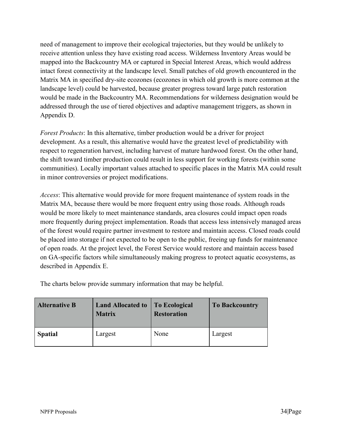need of management to improve their ecological trajectories, but they would be unlikely to receive attention unless they have existing road access. Wilderness Inventory Areas would be mapped into the Backcountry MA or captured in Special Interest Areas, which would address intact forest connectivity at the landscape level. Small patches of old growth encountered in the Matrix MA in specified dry-site ecozones (ecozones in which old growth is more common at the landscape level) could be harvested, because greater progress toward large patch restoration would be made in the Backcountry MA. Recommendations for wilderness designation would be addressed through the use of tiered objectives and adaptive management triggers, as shown in Appendix D.

*Forest Products*: In this alternative, timber production would be a driver for project development. As a result, this alternative would have the greatest level of predictability with respect to regeneration harvest, including harvest of mature hardwood forest. On the other hand, the shift toward timber production could result in less support for working forests (within some communities). Locally important values attached to specific places in the Matrix MA could result in minor controversies or project modifications.

*Access*: This alternative would provide for more frequent maintenance of system roads in the Matrix MA, because there would be more frequent entry using those roads. Although roads would be more likely to meet maintenance standards, area closures could impact open roads more frequently during project implementation. Roads that access less intensively managed areas of the forest would require partner investment to restore and maintain access. Closed roads could be placed into storage if not expected to be open to the public, freeing up funds for maintenance of open roads. At the project level, the Forest Service would restore and maintain access based on GA-specific factors while simultaneously making progress to protect aquatic ecosystems, as described in Appendix E.

The charts below provide summary information that may be helpful.

| <b>Alternative B</b> | <b>Land Allocated to</b><br><b>Matrix</b> | <b>To Ecological</b><br><b>Restoration</b> | <b>To Backcountry</b> |
|----------------------|-------------------------------------------|--------------------------------------------|-----------------------|
| <b>Spatial</b>       | Largest                                   | None                                       | Largest               |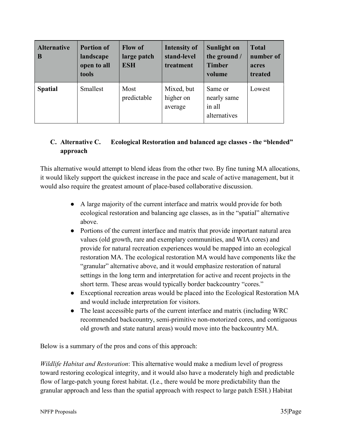| <b>Alternative</b><br>B | <b>Portion of</b><br>landscape<br>open to all<br>tools | <b>Flow of</b><br>large patch<br><b>ESH</b> | <b>Intensity of</b><br>stand-level<br>treatment | Sunlight on<br>the ground /<br><b>Timber</b><br>volume | <b>Total</b><br>number of<br>acres<br>treated |
|-------------------------|--------------------------------------------------------|---------------------------------------------|-------------------------------------------------|--------------------------------------------------------|-----------------------------------------------|
| <b>Spatial</b>          | Smallest                                               | Most<br>predictable                         | Mixed, but<br>higher on<br>average              | Same or<br>nearly same<br>in all<br>alternatives       | Lowest                                        |

# <span id="page-38-0"></span>**C. Alternative C. Ecological Restoration and balanced age classes - the "blended" approach**

This alternative would attempt to blend ideas from the other two. By fine tuning MA allocations, it would likely support the quickest increase in the pace and scale of active management, but it would also require the greatest amount of place-based collaborative discussion.

- A large majority of the current interface and matrix would provide for both ecological restoration and balancing age classes, as in the "spatial" alternative above.
- Portions of the current interface and matrix that provide important natural area values (old growth, rare and exemplary communities, and WIA cores) and provide for natural recreation experiences would be mapped into an ecological restoration MA. The ecological restoration MA would have components like the "granular" alternative above, and it would emphasize restoration of natural settings in the long term and interpretation for active and recent projects in the short term. These areas would typically border backcountry "cores."
- Exceptional recreation areas would be placed into the Ecological Restoration MA and would include interpretation for visitors.
- The least accessible parts of the current interface and matrix (including WRC) recommended backcountry, semi-primitive non-motorized cores, and contiguous old growth and state natural areas) would move into the backcountry MA.

Below is a summary of the pros and cons of this approach:

*Wildlife Habitat and Restoration*: This alternative would make a medium level of progress toward restoring ecological integrity, and it would also have a moderately high and predictable flow of large-patch young forest habitat. (I.e., there would be more predictability than the granular approach and less than the spatial approach with respect to large patch ESH.) Habitat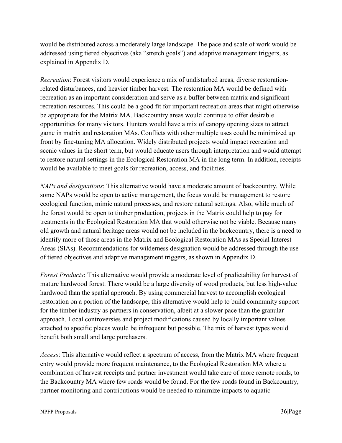would be distributed across a moderately large landscape. The pace and scale of work would be addressed using tiered objectives (aka "stretch goals") and adaptive management triggers, as explained in Appendix D.

*Recreation*: Forest visitors would experience a mix of undisturbed areas, diverse restorationrelated disturbances, and heavier timber harvest. The restoration MA would be defined with recreation as an important consideration and serve as a buffer between matrix and significant recreation resources. This could be a good fit for important recreation areas that might otherwise be appropriate for the Matrix MA. Backcountry areas would continue to offer desirable opportunities for many visitors. Hunters would have a mix of canopy opening sizes to attract game in matrix and restoration MAs. Conflicts with other multiple uses could be minimized up front by fine-tuning MA allocation. Widely distributed projects would impact recreation and scenic values in the short term, but would educate users through interpretation and would attempt to restore natural settings in the Ecological Restoration MA in the long term. In addition, receipts would be available to meet goals for recreation, access, and facilities.

*NAPs and designations*: This alternative would have a moderate amount of backcountry. While some NAPs would be open to active management, the focus would be management to restore ecological function, mimic natural processes, and restore natural settings. Also, while much of the forest would be open to timber production, projects in the Matrix could help to pay for treatments in the Ecological Restoration MA that would otherwise not be viable. Because many old growth and natural heritage areas would not be included in the backcountry, there is a need to identify more of those areas in the Matrix and Ecological Restoration MAs as Special Interest Areas (SIAs). Recommendations for wilderness designation would be addressed through the use of tiered objectives and adaptive management triggers, as shown in Appendix D.

*Forest Products*: This alternative would provide a moderate level of predictability for harvest of mature hardwood forest. There would be a large diversity of wood products, but less high-value hardwood than the spatial approach. By using commercial harvest to accomplish ecological restoration on a portion of the landscape, this alternative would help to build community support for the timber industry as partners in conservation, albeit at a slower pace than the granular approach. Local controversies and project modifications caused by locally important values attached to specific places would be infrequent but possible. The mix of harvest types would benefit both small and large purchasers.

*Access*: This alternative would reflect a spectrum of access, from the Matrix MA where frequent entry would provide more frequent maintenance, to the Ecological Restoration MA where a combination of harvest receipts and partner investment would take care of more remote roads, to the Backcountry MA where few roads would be found. For the few roads found in Backcountry, partner monitoring and contributions would be needed to minimize impacts to aquatic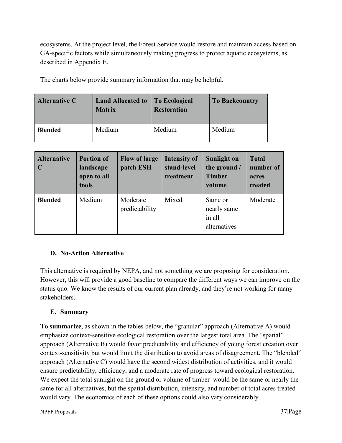ecosystems. At the project level, the Forest Service would restore and maintain access based on GA-specific factors while simultaneously making progress to protect aquatic ecosystems, as described in Appendix E.

The charts below provide summary information that may be helpful.

| <b>Alternative C</b> | <b>Land Allocated to</b><br><b>Matrix</b> | <b>To Ecological</b><br><b>Restoration</b> | <b>To Backcountry</b> |
|----------------------|-------------------------------------------|--------------------------------------------|-----------------------|
| <b>Blended</b>       | Medium                                    | Medium                                     | Medium                |

| <b>Alternative</b><br>$\mathbf C$ | <b>Portion of</b><br>landscape<br>open to all<br>tools | <b>Flow of large</b><br>patch ESH | <b>Intensity of</b><br>stand-level<br>treatment | <b>Sunlight on</b><br>the ground /<br><b>Timber</b><br>volume | <b>Total</b><br>number of<br>acres<br>treated |
|-----------------------------------|--------------------------------------------------------|-----------------------------------|-------------------------------------------------|---------------------------------------------------------------|-----------------------------------------------|
| <b>Blended</b>                    | Medium                                                 | Moderate<br>predictability        | Mixed                                           | Same or<br>nearly same<br>in all<br>alternatives              | Moderate                                      |

#### <span id="page-40-0"></span>**D. No-Action Alternative**

This alternative is required by NEPA, and not something we are proposing for consideration. However, this will provide a good baseline to compare the different ways we can improve on the status quo. We know the results of our current plan already, and they're not working for many stakeholders.

#### <span id="page-40-1"></span>**E. Summary**

**To summarize**, as shown in the tables below, the "granular" approach (Alternative A) would emphasize context-sensitive ecological restoration over the largest total area. The "spatial" approach (Alternative B) would favor predictability and efficiency of young forest creation over context-sensitivity but would limit the distribution to avoid areas of disagreement. The "blended" approach (Alternative C) would have the second widest distribution of activities, and it would ensure predictability, efficiency, and a moderate rate of progress toward ecological restoration. We expect the total sunlight on the ground or volume of timber would be the same or nearly the same for all alternatives, but the spatial distribution, intensity, and number of total acres treated would vary. The economics of each of these options could also vary considerably.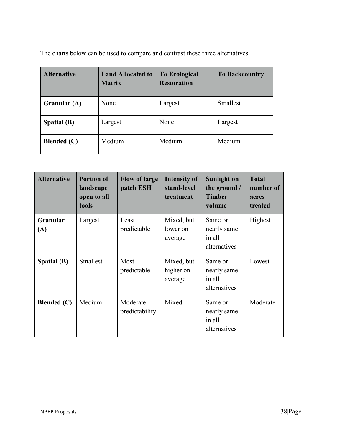The charts below can be used to compare and contrast these three alternatives.

| <b>Alternative</b> | <b>Land Allocated to</b><br><b>Matrix</b> | <b>To Ecological</b><br><b>Restoration</b> | <b>To Backcountry</b> |  |
|--------------------|-------------------------------------------|--------------------------------------------|-----------------------|--|
| Granular (A)       | None                                      | Largest                                    | Smallest              |  |
| Spatial (B)        | Largest                                   | None                                       | Largest               |  |
| <b>Blended</b> (C) | Medium                                    | Medium                                     | Medium                |  |

| <b>Alternative</b> | <b>Portion of</b><br>landscape<br>open to all<br>tools | <b>Flow of large</b><br>patch ESH | <b>Intensity of</b><br>stand-level<br>treatment | <b>Sunlight on</b><br>the ground /<br><b>Timber</b><br>volume | <b>Total</b><br>number of<br>acres<br>treated |
|--------------------|--------------------------------------------------------|-----------------------------------|-------------------------------------------------|---------------------------------------------------------------|-----------------------------------------------|
| Granular<br>(A)    | Largest                                                | Least<br>predictable              | Mixed, but<br>lower on<br>average               | Same or<br>nearly same<br>in all<br>alternatives              | Highest                                       |
| <b>Spatial (B)</b> | Smallest                                               | Most<br>predictable               | Mixed, but<br>higher on<br>average              | Same or<br>nearly same<br>in all<br>alternatives              | Lowest                                        |
| <b>Blended</b> (C) | Medium                                                 | Moderate<br>predictability        | Mixed                                           | Same or<br>nearly same<br>in all<br>alternatives              | Moderate                                      |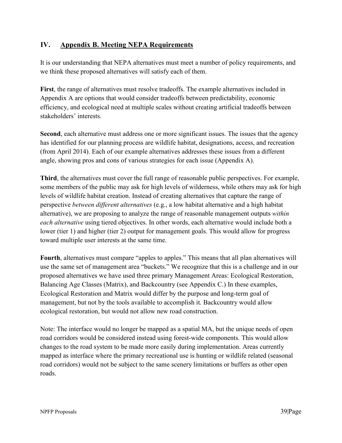# <span id="page-42-0"></span>**IV. Appendix B. Meeting NEPA Requirements**

It is our understanding that NEPA alternatives must meet a number of policy requirements, and we think these proposed alternatives will satisfy each of them.

**First**, the range of alternatives must resolve tradeoffs. The example alternatives included in Appendix A are options that would consider tradeoffs between predictability, economic efficiency, and ecological need at multiple scales without creating artificial tradeoffs between stakeholders' interests.

**Second**, each alternative must address one or more significant issues. The issues that the agency has identified for our planning process are wildlife habitat, designations, access, and recreation (from April 2014). Each of our example alternatives addresses these issues from a different angle, showing pros and cons of various strategies for each issue (Appendix A).

**Third**, the alternatives must cover the full range of reasonable public perspectives. For example, some members of the public may ask for high levels of wilderness, while others may ask for high levels of wildlife habitat creation. Instead of creating alternatives that capture the range of perspective *between different alternatives* (e.g., a low habitat alternative and a high habitat alternative), we are proposing to analyze the range of reasonable management outputs *within each alternative* using tiered objectives. In other words, each alternative would include both a lower (tier 1) and higher (tier 2) output for management goals. This would allow for progress toward multiple user interests at the same time.

**Fourth**, alternatives must compare "apples to apples." This means that all plan alternatives will use the same set of management area "buckets." We recognize that this is a challenge and in our proposed alternatives we have used three primary Management Areas: Ecological Restoration, Balancing Age Classes (Matrix), and Backcountry (see Appendix C.) In these examples, Ecological Restoration and Matrix would differ by the purpose and long-term goal of management, but not by the tools available to accomplish it. Backcountry would allow ecological restoration, but would not allow new road construction.

Note: The interface would no longer be mapped as a spatial MA, but the unique needs of open road corridors would be considered instead using forest-wide components. This would allow changes to the road system to be made more easily during implementation. Areas currently mapped as interface where the primary recreational use is hunting or wildlife related (seasonal road corridors) would not be subject to the same scenery limitations or buffers as other open roads.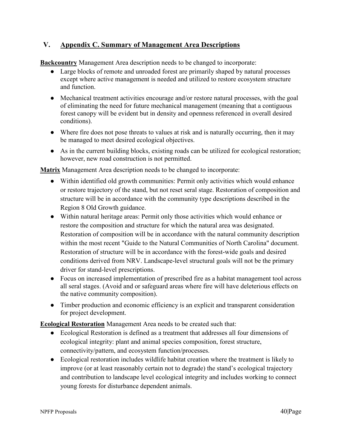# <span id="page-43-0"></span>**V. Appendix C. Summary of Management Area Descriptions**

**Backcountry** Management Area description needs to be changed to incorporate:

- Large blocks of remote and unroaded forest are primarily shaped by natural processes except where active management is needed and utilized to restore ecosystem structure and function.
- Mechanical treatment activities encourage and/or restore natural processes, with the goal of eliminating the need for future mechanical management (meaning that a contiguous forest canopy will be evident but in density and openness referenced in overall desired conditions).
- Where fire does not pose threats to values at risk and is naturally occurring, then it may be managed to meet desired ecological objectives.
- As in the current building blocks, existing roads can be utilized for ecological restoration; however, new road construction is not permitted.

**Matrix** Management Area description needs to be changed to incorporate:

- Within identified old growth communities: Permit only activities which would enhance or restore trajectory of the stand, but not reset seral stage. Restoration of composition and structure will be in accordance with the community type descriptions described in the Region 8 Old Growth guidance.
- Within natural heritage areas: Permit only those activities which would enhance or restore the composition and structure for which the natural area was designated. Restoration of composition will be in accordance with the natural community description within the most recent "Guide to the Natural Communities of North Carolina" document. Restoration of structure will be in accordance with the forest-wide goals and desired conditions derived from NRV. Landscape-level structural goals will not be the primary driver for stand-level prescriptions.
- Focus on increased implementation of prescribed fire as a habitat management tool across all seral stages. (Avoid and or safeguard areas where fire will have deleterious effects on the native community composition).
- Timber production and economic efficiency is an explicit and transparent consideration for project development.

**Ecological Restoration** Management Area needs to be created such that:

- Ecological Restoration is defined as a treatment that addresses all four dimensions of ecological integrity: plant and animal species composition, forest structure, connectivity/pattern, and ecosystem function/processes.
- Ecological restoration includes wildlife habitat creation where the treatment is likely to improve (or at least reasonably certain not to degrade) the stand's ecological trajectory and contribution to landscape level ecological integrity and includes working to connect young forests for disturbance dependent animals.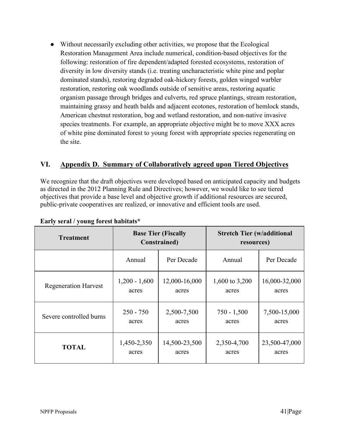● Without necessarily excluding other activities, we propose that the Ecological Restoration Management Area include numerical, condition-based objectives for the following: restoration of fire dependent/adapted forested ecosystems, restoration of diversity in low diversity stands (i.e. treating uncharacteristic white pine and poplar dominated stands), restoring degraded oak-hickory forests, golden winged warbler restoration, restoring oak woodlands outside of sensitive areas, restoring aquatic organism passage through bridges and culverts, red spruce plantings, stream restoration, maintaining grassy and heath balds and adjacent ecotones, restoration of hemlock stands, American chestnut restoration, bog and wetland restoration, and non-native invasive species treatments. For example, an appropriate objective might be to move XXX acres of white pine dominated forest to young forest with appropriate species regenerating on the site.

# <span id="page-44-0"></span>**VI. Appendix D. Summary of Collaboratively agreed upon Tiered Objectives**

We recognize that the draft objectives were developed based on anticipated capacity and budgets as directed in the 2012 Planning Rule and Directives; however, we would like to see tiered objectives that provide a base level and objective growth if additional resources are secured, public-private cooperatives are realized, or innovative and efficient tools are used.

| <b>Treatment</b>            | <b>Base Tier (Fiscally</b><br><b>Constrained</b> ) |               | <b>Stretch Tier (w/additional</b><br>resources) |               |
|-----------------------------|----------------------------------------------------|---------------|-------------------------------------------------|---------------|
|                             | Annual                                             | Per Decade    | Annual                                          | Per Decade    |
| <b>Regeneration Harvest</b> | $1,200 - 1,600$                                    | 12,000-16,000 | 1,600 to 3,200                                  | 16,000-32,000 |
|                             | acres                                              | acres         | acres                                           | acres         |
| Severe controlled burns     | $250 - 750$                                        | 2,500-7,500   | $750 - 1,500$                                   | 7,500-15,000  |
|                             | acres                                              | acres         | acres                                           | acres         |
| <b>TOTAL</b>                | 1,450-2,350                                        | 14,500-23,500 | 2,350-4,700                                     | 23,500-47,000 |
|                             | acres                                              | acres         | acres                                           | acres         |

#### **Early seral / young forest habitats\***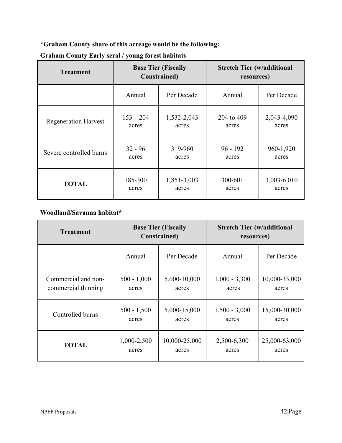**\*Graham County share of this acreage would be the following:** 

| <b>Treatment</b>            | <b>Base Tier (Fiscally</b><br><b>Constrained</b> ) |             | <b>Stretch Tier (w/additional</b><br>resources) |             |
|-----------------------------|----------------------------------------------------|-------------|-------------------------------------------------|-------------|
|                             | Annual                                             | Per Decade  | Annual                                          | Per Decade  |
| <b>Regeneration Harvest</b> | $153 - 204$                                        | 1,532-2,043 | 204 to 409                                      | 2,043-4,090 |
|                             | acres                                              | acres       | acres                                           | acres       |
| Severe controlled burns     | $32 - 96$                                          | 319-960     | $96 - 192$                                      | 960-1,920   |
|                             | acres                                              | acres       | acres                                           | acres       |
| <b>TOTAL</b>                | 185-300                                            | 1,851-3,003 | 300-601                                         | 3,003-6,010 |
|                             | acres                                              | acres       | acres                                           | acres       |

# **Graham County Early seral / young forest habitats**

## **Woodland/Savanna habitat\***

| <b>Treatment</b>    | <b>Base Tier (Fiscally</b><br><b>Constrained</b> ) |               | <b>Stretch Tier (w/additional</b><br>resources) |               |
|---------------------|----------------------------------------------------|---------------|-------------------------------------------------|---------------|
|                     | Annual                                             | Per Decade    | Annual                                          | Per Decade    |
| Commercial and non- | $500 - 1,000$                                      | 5,000-10,000  | $1,000 - 3,300$                                 | 10,000-33,000 |
| commercial thinning | acres                                              | acres         | acres                                           | acres         |
| Controlled burns    | $500 - 1,500$                                      | 5,000-15,000  | $1,500 - 3,000$                                 | 15,000-30,000 |
|                     | acres                                              | acres         | acres                                           | acres         |
| <b>TOTAL</b>        | 1,000-2,500                                        | 10,000-25,000 | 2,500-6,300                                     | 25,000-63,000 |
|                     | acres                                              | acres         | acres                                           | acres         |